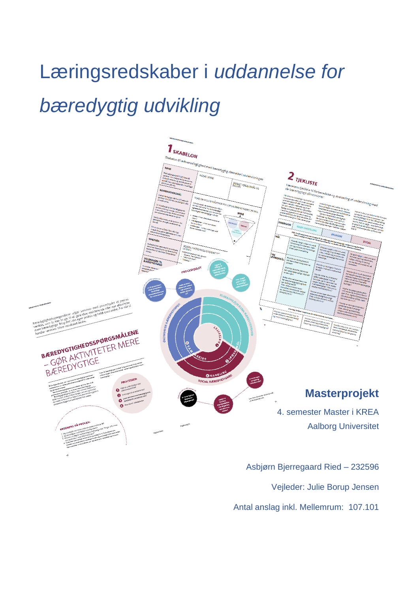# Læringsredskaber i *uddannelse for bæredygtig udvikling*



Asbjørn Bjerregaard Ried – 232596 Vejleder: Julie Borup Jensen Antal anslag inkl. Mellemrum: 107.101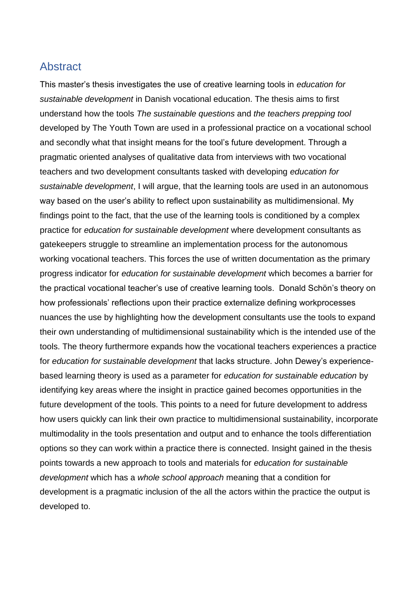# Abstract

This master's thesis investigates the use of creative learning tools in *education for sustainable development* in Danish vocational education. The thesis aims to first understand how the tools *The sustainable questions* and *the teachers prepping tool* developed by The Youth Town are used in a professional practice on a vocational school and secondly what that insight means for the tool's future development. Through a pragmatic oriented analyses of qualitative data from interviews with two vocational teachers and two development consultants tasked with developing *education for sustainable development*, I will argue, that the learning tools are used in an autonomous way based on the user's ability to reflect upon sustainability as multidimensional. My findings point to the fact, that the use of the learning tools is conditioned by a complex practice for *education for sustainable development* where development consultants as gatekeepers struggle to streamline an implementation process for the autonomous working vocational teachers. This forces the use of written documentation as the primary progress indicator for *education for sustainable development* which becomes a barrier for the practical vocational teacher's use of creative learning tools. Donald Schön's theory on how professionals' reflections upon their practice externalize defining workprocesses nuances the use by highlighting how the development consultants use the tools to expand their own understanding of multidimensional sustainability which is the intended use of the tools. The theory furthermore expands how the vocational teachers experiences a practice for *education for sustainable development* that lacks structure. John Dewey's experiencebased learning theory is used as a parameter for *education for sustainable education* by identifying key areas where the insight in practice gained becomes opportunities in the future development of the tools. This points to a need for future development to address how users quickly can link their own practice to multidimensional sustainability, incorporate multimodality in the tools presentation and output and to enhance the tools differentiation options so they can work within a practice there is connected. Insight gained in the thesis points towards a new approach to tools and materials for *education for sustainable development* which has a *whole school approach* meaning that a condition for development is a pragmatic inclusion of the all the actors within the practice the output is developed to.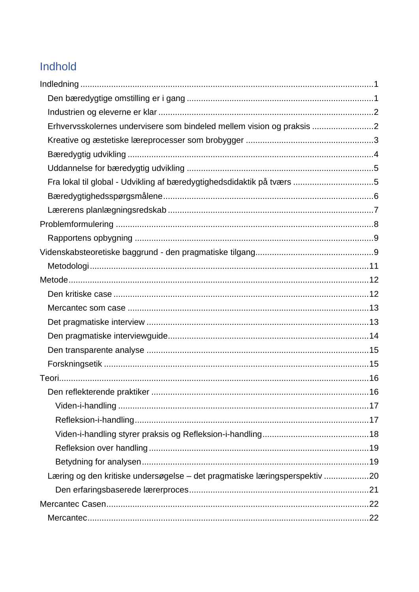# Indhold

| Erhvervsskolernes undervisere som bindeled mellem vision og praksis 2      |  |
|----------------------------------------------------------------------------|--|
|                                                                            |  |
|                                                                            |  |
|                                                                            |  |
| Fra lokal til global - Udvikling af bæredygtighedsdidaktik på tværs 5      |  |
|                                                                            |  |
|                                                                            |  |
|                                                                            |  |
|                                                                            |  |
|                                                                            |  |
|                                                                            |  |
|                                                                            |  |
|                                                                            |  |
|                                                                            |  |
|                                                                            |  |
|                                                                            |  |
|                                                                            |  |
|                                                                            |  |
|                                                                            |  |
|                                                                            |  |
|                                                                            |  |
|                                                                            |  |
|                                                                            |  |
|                                                                            |  |
|                                                                            |  |
| Læring og den kritiske undersøgelse - det pragmatiske læringsperspektiv 20 |  |
|                                                                            |  |
|                                                                            |  |
|                                                                            |  |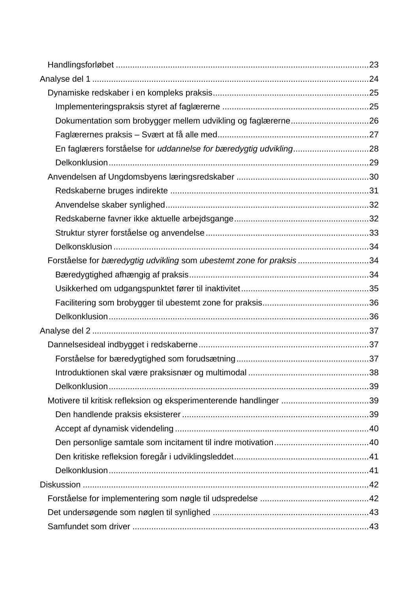| Dokumentation som brobygger mellem udvikling og faglærerne26        |     |
|---------------------------------------------------------------------|-----|
|                                                                     |     |
|                                                                     |     |
|                                                                     |     |
|                                                                     |     |
|                                                                     |     |
|                                                                     |     |
|                                                                     |     |
|                                                                     |     |
|                                                                     |     |
| Forståelse for bæredygtig udvikling som ubestemt zone for praksis34 |     |
|                                                                     |     |
|                                                                     |     |
|                                                                     |     |
|                                                                     |     |
|                                                                     |     |
|                                                                     |     |
|                                                                     |     |
|                                                                     | .38 |
|                                                                     |     |
| Motivere til kritisk refleksion og eksperimenterende handlinger 39  |     |
|                                                                     |     |
|                                                                     |     |
|                                                                     |     |
|                                                                     |     |
|                                                                     |     |
|                                                                     |     |
|                                                                     |     |
|                                                                     |     |
|                                                                     |     |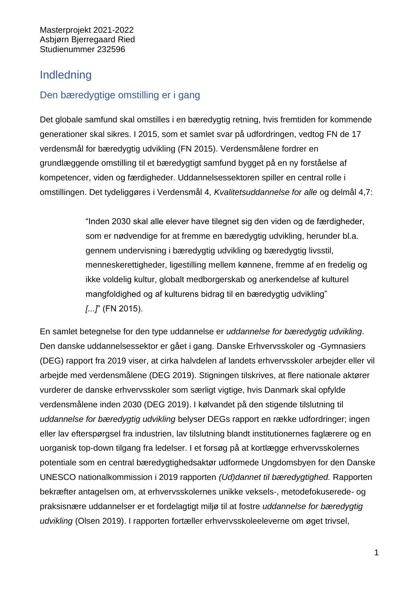# <span id="page-5-0"></span>Indledning

# <span id="page-5-1"></span>Den bæredygtige omstilling er i gang

Det globale samfund skal omstilles i en bæredygtig retning, hvis fremtiden for kommende generationer skal sikres. I 2015, som et samlet svar på udfordringen, vedtog FN de 17 verdensmål for bæredygtig udvikling (FN 2015). Verdensmålene fordrer en grundlæggende omstilling til et bæredygtigt samfund bygget på en ny forståelse af kompetencer, viden og færdigheder. Uddannelsessektoren spiller en central rolle i omstillingen. Det tydeliggøres i Verdensmål 4, *Kvalitetsuddannelse for alle* og delmål 4,7:

> "Inden 2030 skal alle elever have tilegnet sig den viden og de færdigheder, som er nødvendige for at fremme en bæredygtig udvikling, herunder bl.a. gennem undervisning i bæredygtig udvikling og bæredygtig livsstil, menneskerettigheder, ligestilling mellem kønnene, fremme af en fredelig og ikke voldelig kultur, globalt medborgerskab og anerkendelse af kulturel mangfoldighed og af kulturens bidrag til en bæredygtig udvikling" *[...]*" (FN 2015).

En samlet betegnelse for den type uddannelse er *uddannelse for bæredygtig udvikling*. Den danske uddannelsessektor er gået i gang. Danske Erhvervsskoler og -Gymnasiers (DEG) rapport fra 2019 viser, at cirka halvdelen af landets erhvervsskoler arbejder eller vil arbejde med verdensmålene (DEG 2019). Stigningen tilskrives, at flere nationale aktører vurderer de danske erhvervsskoler som særligt vigtige, hvis Danmark skal opfylde verdensmålene inden 2030 (DEG 2019). I kølvandet på den stigende tilslutning til *uddannelse for bæredygtig udvikling* belyser DEGs rapport en række udfordringer; ingen eller lav efterspørgsel fra industrien, lav tilslutning blandt institutionernes faglærere og en uorganisk top-down tilgang fra ledelser. I et forsøg på at kortlægge erhvervsskolernes potentiale som en central bæredygtighedsaktør udformede Ungdomsbyen for den Danske UNESCO nationalkommission i 2019 rapporten *(Ud)dannet til bæredygtighed.* Rapporten bekræfter antagelsen om, at erhvervsskolernes unikke veksels-, metodefokuserede- og praksisnære uddannelser er et fordelagtigt miljø til at fostre *uddannelse for bæredygtig udvikling* (Olsen 2019). I rapporten fortæller erhvervsskoleeleverne om øget trivsel,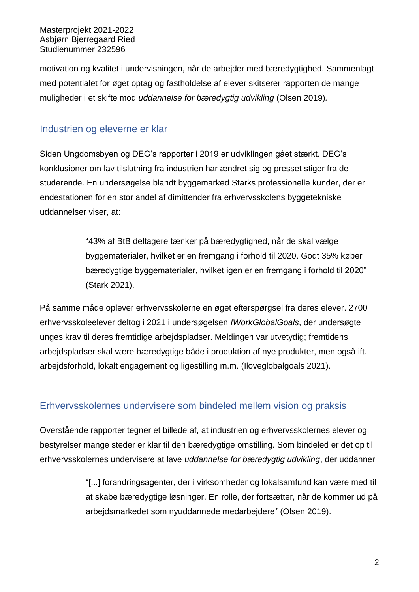motivation og kvalitet i undervisningen, når de arbejder med bæredygtighed. Sammenlagt med potentialet for øget optag og fastholdelse af elever skitserer rapporten de mange muligheder i et skifte mod *uddannelse for bæredygtig udvikling* (Olsen 2019)*.*

# <span id="page-6-0"></span>Industrien og eleverne er klar

Siden Ungdomsbyen og DEG's rapporter i 2019 er udviklingen gået stærkt. DEG's konklusioner om lav tilslutning fra industrien har ændret sig og presset stiger fra de studerende. En undersøgelse blandt byggemarked Starks professionelle kunder, der er endestationen for en stor andel af dimittender fra erhvervsskolens byggetekniske uddannelser viser, at:

> "43% af BtB deltagere tænker på bæredygtighed, når de skal vælge byggematerialer, hvilket er en fremgang i forhold til 2020. Godt 35% køber bæredygtige byggematerialer, hvilket igen er en fremgang i forhold til 2020" (Stark 2021).

På samme måde oplever erhvervsskolerne en øget efterspørgsel fra deres elever. 2700 erhvervsskoleelever deltog i 2021 i undersøgelsen *IWorkGlobalGoals*, der undersøgte unges krav til deres fremtidige arbejdspladser. Meldingen var utvetydig; fremtidens arbejdspladser skal være bæredygtige både i produktion af nye produkter, men også ift. arbejdsforhold, lokalt engagement og ligestilling m.m. (Iloveglobalgoals 2021).

# <span id="page-6-1"></span>Erhvervsskolernes undervisere som bindeled mellem vision og praksis

Overstående rapporter tegner et billede af, at industrien og erhvervsskolernes elever og bestyrelser mange steder er klar til den bæredygtige omstilling. Som bindeled er det op til erhvervsskolernes undervisere at lave *uddannelse for bæredygtig udvikling*, der uddanner

> "[...] forandringsagenter, der i virksomheder og lokalsamfund kan være med til at skabe bæredygtige løsninger. En rolle, der fortsætter, når de kommer ud på arbejdsmarkedet som nyuddannede medarbejdere*"* (Olsen 2019).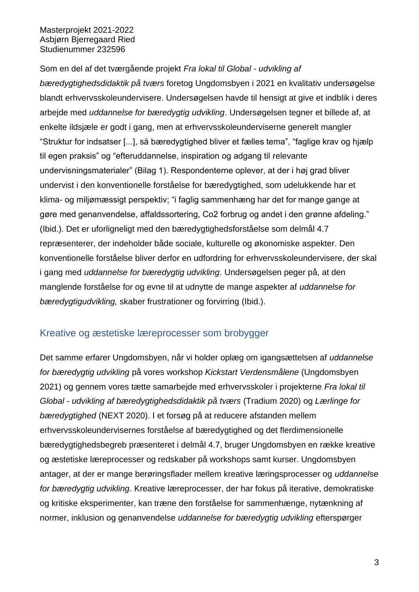Som en del af det tværgående projekt *Fra lokal til Global - udvikling af bæredygtighedsdidaktik på tværs* foretog Ungdomsbyen i 2021 en kvalitativ undersøgelse blandt erhvervsskoleundervisere. Undersøgelsen havde til hensigt at give et indblik i deres arbejde med *uddannelse for bæredygtig udvikling*. Undersøgelsen tegner et billede af, at enkelte ildsjæle er godt i gang, men at erhvervsskoleunderviserne generelt mangler "Struktur for indsatser [...], så bæredygtighed bliver et fælles tema", "faglige krav og hjælp til egen praksis" og "efteruddannelse, inspiration og adgang til relevante undervisningsmaterialer" (Bilag 1). Respondenterne oplever, at der i høj grad bliver undervist i den konventionelle forståelse for bæredygtighed, som udelukkende har et klima- og miljømæssigt perspektiv; "i faglig sammenhæng har det for mange gange at gøre med genanvendelse, affaldssortering, Co2 forbrug og andet i den grønne afdeling." (Ibid.). Det er uforligneligt med den bæredygtighedsforståelse som delmål 4.7 repræsenterer, der indeholder både sociale, kulturelle og økonomiske aspekter. Den konventionelle forståelse bliver derfor en udfordring for erhvervsskoleundervisere, der skal i gang med *uddannelse for bæredygtig udvikling*. Undersøgelsen peger på, at den manglende forståelse for og evne til at udnytte de mange aspekter af *uddannelse for bæredygtigudvikling,* skaber frustrationer og forvirring (Ibid.).

# <span id="page-7-0"></span>Kreative og æstetiske læreprocesser som brobygger

Det samme erfarer Ungdomsbyen, når vi holder oplæg om igangsættelsen af *uddannelse for bæredygtig udvikling* på vores workshop *Kickstart Verdensmålene* (Ungdomsbyen 2021) og gennem vores tætte samarbejde med erhvervsskoler i projekterne *Fra lokal til Global - udvikling af bæredygtighedsdidaktik på tværs* (Tradium 2020) og *Lærlinge for bæredygtighed* (NEXT 2020). I et forsøg på at reducere afstanden mellem erhvervsskoleundervisernes forståelse af bæredygtighed og det flerdimensionelle bæredygtighedsbegreb præsenteret i delmål 4.7, bruger Ungdomsbyen en række kreative og æstetiske læreprocesser og redskaber på workshops samt kurser. Ungdomsbyen antager, at der er mange berøringsflader mellem kreative læringsprocesser og *uddannelse for bæredygtig udvikling*. Kreative læreprocesser, der har fokus på iterative, demokratiske og kritiske eksperimenter, kan træne den forståelse for sammenhænge, nytænkning af normer, inklusion og genanvendelse *uddannelse for bæredygtig udvikling* efterspørger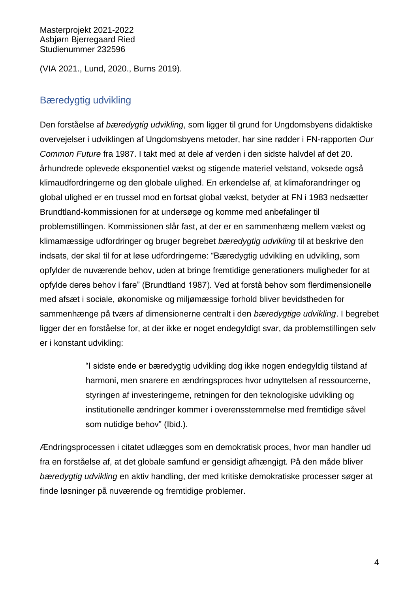(VIA 2021., Lund, 2020., Burns 2019).

# <span id="page-8-0"></span>Bæredygtig udvikling

Den forståelse af *bæredygtig udvikling*, som ligger til grund for Ungdomsbyens didaktiske overvejelser i udviklingen af Ungdomsbyens metoder, har sine rødder i FN-rapporten *Our Common Future* fra 1987. I takt med at dele af verden i den sidste halvdel af det 20. århundrede oplevede eksponentiel vækst og stigende materiel velstand, voksede også klimaudfordringerne og den globale ulighed. En erkendelse af, at klimaforandringer og global ulighed er en trussel mod en fortsat global vækst, betyder at FN i 1983 nedsætter Brundtland-kommissionen for at undersøge og komme med anbefalinger til problemstillingen. Kommissionen slår fast, at der er en sammenhæng mellem vækst og klimamæssige udfordringer og bruger begrebet *bæredygtig udvikling* til at beskrive den indsats, der skal til for at løse udfordringerne: "Bæredygtig udvikling en udvikling, som opfylder de nuværende behov, uden at bringe fremtidige generationers muligheder for at opfylde deres behov i fare" (Brundtland 1987). Ved at forstå behov som flerdimensionelle med afsæt i sociale, økonomiske og miljømæssige forhold bliver bevidstheden for sammenhænge på tværs af dimensionerne centralt i den *bæredygtige udvikling*. I begrebet ligger der en forståelse for, at der ikke er noget endegyldigt svar, da problemstillingen selv er i konstant udvikling:

> "I sidste ende er bæredygtig udvikling dog ikke nogen endegyldig tilstand af harmoni, men snarere en ændringsproces hvor udnyttelsen af ressourcerne, styringen af investeringerne, retningen for den teknologiske udvikling og institutionelle ændringer kommer i overensstemmelse med fremtidige såvel som nutidige behov" (Ibid.).

Ændringsprocessen i citatet udlægges som en demokratisk proces, hvor man handler ud fra en forståelse af, at det globale samfund er gensidigt afhængigt. På den måde bliver *bæredygtig udvikling* en aktiv handling, der med kritiske demokratiske processer søger at finde løsninger på nuværende og fremtidige problemer.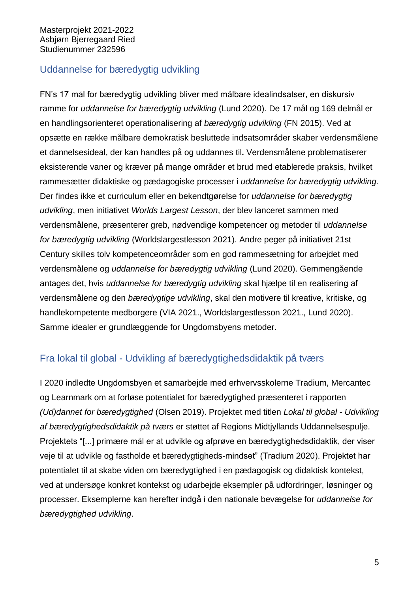# <span id="page-9-0"></span>Uddannelse for bæredygtig udvikling

FN's 17 mål for bæredygtig udvikling bliver med målbare idealindsatser, en diskursiv ramme for *uddannelse for bæredygtig udvikling* (Lund 2020). De 17 mål og 169 delmål er en handlingsorienteret operationalisering af *bæredygtig udvikling* (FN 2015). Ved at opsætte en række målbare demokratisk besluttede indsatsområder skaber verdensmålene et dannelsesideal, der kan handles på og uddannes til**.** Verdensmålene problematiserer eksisterende vaner og kræver på mange områder et brud med etablerede praksis, hvilket rammesætter didaktiske og pædagogiske processer i *uddannelse for bæredygtig udvikling*. Der findes ikke et curriculum eller en bekendtgørelse for *uddannelse for bæredygtig udvikling*, men initiativet *Worlds Largest Lesson*, der blev lanceret sammen med verdensmålene, præsenterer greb, nødvendige kompetencer og metoder til *uddannelse for bæredygtig udvikling* (Worldslargestlesson 2021). Andre peger på initiativet 21st Century skilles tolv kompetenceområder som en god rammesætning for arbejdet med verdensmålene og *uddannelse for bæredygtig udvikling* (Lund 2020). Gemmengående antages det, hvis *uddannelse for bæredygtig udvikling* skal hjælpe til en realisering af verdensmålene og den *bæredygtige udvikling*, skal den motivere til kreative, kritiske, og handlekompetente medborgere (VIA 2021., Worldslargestlesson 2021., Lund 2020). Samme idealer er grundlæggende for Ungdomsbyens metoder.

# <span id="page-9-1"></span>Fra lokal til global - Udvikling af bæredygtighedsdidaktik på tværs

I 2020 indledte Ungdomsbyen et samarbejde med erhvervsskolerne Tradium, Mercantec og Learnmark om at forløse potentialet for bæredygtighed præsenteret i rapporten *(Ud)dannet for bæredygtighed* (Olsen 2019). Projektet med titlen *Lokal til global - Udvikling af bæredygtighedsdidaktik på tværs* er støttet af Regions Midtjyllands Uddannelsespulje. Projektets "[...] primære mål er at udvikle og afprøve en bæredygtighedsdidaktik, der viser veje til at udvikle og fastholde et bæredygtigheds-mindset" (Tradium 2020). Projektet har potentialet til at skabe viden om bæredygtighed i en pædagogisk og didaktisk kontekst, ved at undersøge konkret kontekst og udarbejde eksempler på udfordringer, løsninger og processer. Eksemplerne kan herefter indgå i den nationale bevægelse for *uddannelse for bæredygtighed udvikling*.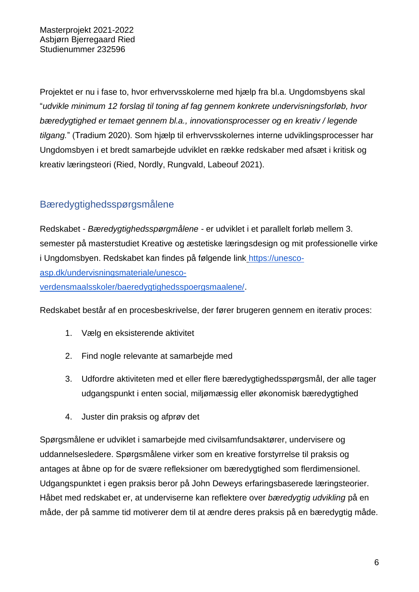Projektet er nu i fase to, hvor erhvervsskolerne med hjælp fra bl.a. Ungdomsbyens skal "*udvikle minimum 12 forslag til toning af fag gennem konkrete undervisningsforløb, hvor bæredygtighed er temaet gennem bl.a., innovationsprocesser og en kreativ / legende tilgang.*" (Tradium 2020). Som hjælp til erhvervsskolernes interne udviklingsprocesser har Ungdomsbyen i et bredt samarbejde udviklet en række redskaber med afsæt i kritisk og kreativ læringsteori (Ried, Nordly, Rungvald, Labeouf 2021).

# <span id="page-10-0"></span>Bæredygtighedsspørgsmålene

Redskabet - *Bæredygtighedsspørgmålene -* er udviklet i et parallelt forløb mellem 3. semester på masterstudiet Kreative og æstetiske læringsdesign og mit professionelle virke i Ungdomsbyen. Redskabet kan findes på følgende link [https://unesco](https://unesco-asp.dk/undervisningsmateriale/unesco-verdensmaalsskoler/baeredygtighedsspoergsmaalene/)[asp.dk/undervisningsmateriale/unesco](https://unesco-asp.dk/undervisningsmateriale/unesco-verdensmaalsskoler/baeredygtighedsspoergsmaalene/)[verdensmaalsskoler/baeredygtighedsspoergsmaalene/.](https://unesco-asp.dk/undervisningsmateriale/unesco-verdensmaalsskoler/baeredygtighedsspoergsmaalene/)

Redskabet består af en procesbeskrivelse, der fører brugeren gennem en iterativ proces:

- 1. Vælg en eksisterende aktivitet
- 2. Find nogle relevante at samarbejde med
- 3. Udfordre aktiviteten med et eller flere bæredygtighedsspørgsmål, der alle tager udgangspunkt i enten social, miljømæssig eller økonomisk bæredygtighed
- 4. Juster din praksis og afprøv det

Spørgsmålene er udviklet i samarbejde med civilsamfundsaktører, undervisere og uddannelsesledere. Spørgsmålene virker som en kreative forstyrrelse til praksis og antages at åbne op for de svære refleksioner om bæredygtighed som flerdimensionel. Udgangspunktet i egen praksis beror på John Deweys erfaringsbaserede læringsteorier. Håbet med redskabet er, at underviserne kan reflektere over *bæredygtig udvikling* på en måde, der på samme tid motiverer dem til at ændre deres praksis på en bæredygtig måde.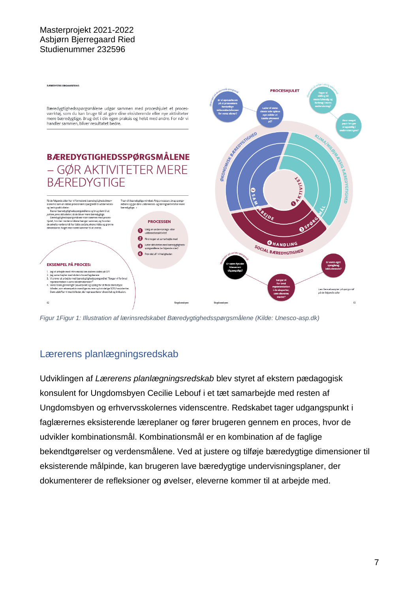

*Figur 1Figur 1: Illustration af lærinsredskabet Bæredygtighedsspørgsmålene (Kilde: Unesco-asp.dk)*

# <span id="page-11-0"></span>Lærerens planlægningsredskab

Udviklingen af *Lærerens planlægningsredskab* blev styret af ekstern pædagogisk konsulent for Ungdomsbyen Cecilie Lebouf i et tæt samarbejde med resten af Ungdomsbyen og erhvervsskolernes videnscentre. Redskabet tager udgangspunkt i faglærernes eksisterende læreplaner og fører brugeren gennem en proces, hvor de udvikler kombinationsmål. Kombinationsmål er en kombination af de faglige bekendtgørelser og verdensmålene. Ved at justere og tilføje bæredygtige dimensioner til eksisterende målpinde, kan brugeren lave bæredygtige undervisningsplaner, der dokumenterer de refleksioner og øvelser, eleverne kommer til at arbejde med.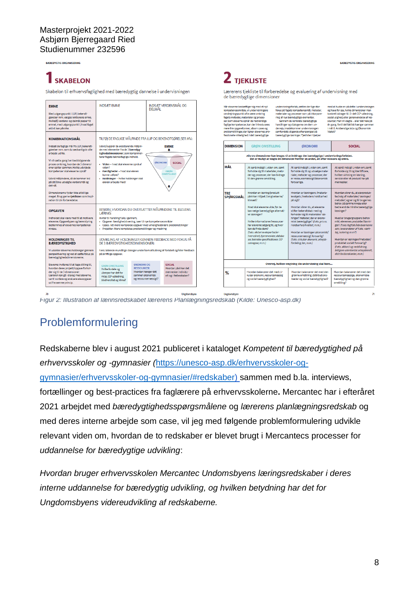# **SKABELON**

Skabelon til erhvervsfaglighed med bæredvgtig dannelse i undervisningen

|                                                                                                                                                                                                                              |                                                                                                                                                                                                                                                                                                                                                                            |                                                                                                          |                                                                       |  |                                                                                                                                                                               | de bæredygtige dimensioner                                                                                                                                                                                                                                                                                     |                                                                                                                                                                                                                                                                                                                                                                              |                                                                                                                                                                                                                                                                                                                                 |
|------------------------------------------------------------------------------------------------------------------------------------------------------------------------------------------------------------------------------|----------------------------------------------------------------------------------------------------------------------------------------------------------------------------------------------------------------------------------------------------------------------------------------------------------------------------------------------------------------------------|----------------------------------------------------------------------------------------------------------|-----------------------------------------------------------------------|--|-------------------------------------------------------------------------------------------------------------------------------------------------------------------------------|----------------------------------------------------------------------------------------------------------------------------------------------------------------------------------------------------------------------------------------------------------------------------------------------------------------|------------------------------------------------------------------------------------------------------------------------------------------------------------------------------------------------------------------------------------------------------------------------------------------------------------------------------------------------------------------------------|---------------------------------------------------------------------------------------------------------------------------------------------------------------------------------------------------------------------------------------------------------------------------------------------------------------------------------|
| <b>EMNE</b><br>Med udgangspunkt i LUP, bekendt-<br>gørelser mm. vælges lektionens emne.<br>Hvilke(t) verdens- og delmål passer til<br>emnet, med udgangspunkt i, hvad faget<br>aktivt kan påvirke.<br><b>KOMBINATIONSMÅL</b> | <b>INDSÆT EMNE</b><br>TILFØJ DE FAGLIGE MÅLPINDE FRA LUP OG BEKENDTGØRELSER MV.:                                                                                                                                                                                                                                                                                           | DEI MÅI                                                                                                  | INDSÆT VERDENSMÅL OG                                                  |  | omdreiningspunkt ofte være omkring<br>fagets metoder, materialer og proces-                                                                                                   | Når eleverne beskæftiger sig med et nyt<br>kompetenceområde, vil undervisningens<br>ser. Som eleverne opnår de nødvendige<br>faglige kompetencer, kan der introduceres<br>mere frie opgaveformer, sasom cases og<br>problemstillinger, der ligner elevernes pro-<br>fessionelle virkelighed. I det bæredygtige | undervisningsforløb, sættes der lige stor<br>fokus på fagets kompetencemål, metoder,<br>materialer og processer som på inkorpore-<br>ring af nye bæredygtige elementer.<br>Gennem de konkrete bæredygtige<br>handlinger og dialogerne om dem un-<br>derveis, imødekommer undervisningen<br>samfundets stigende efterspørgsel på<br>bæredygtige løsninger. Tjeklisten hjælper | med at huske en på dette i undervisninger<br>og have for øie, hvilke dimensioner man<br>konkret bidrager til. Er det CO2-udledning.<br>social ulighed, eller genanvendelse af res-<br>sourcer, man vil vægte - eller det hele på<br>én gang, fordi det faktisk hænger sammen<br>i mål 8: Anstændige Jobs og Økonomisk<br>Vækst? |
| Indsæt de faglige mål fra LUP, bekendt-<br>gørelser mm, som du sædvanligvis ville                                                                                                                                            | Udvid/supplér de eksisterende målpin-<br>de med elementer fra de 3 bæredvg-                                                                                                                                                                                                                                                                                                |                                                                                                          | <b>EMNE</b><br>٠                                                      |  | <b>DIMENSION</b>                                                                                                                                                              | <b>GRØN OMSTILLING</b>                                                                                                                                                                                                                                                                                         | <b>ØKONOMI</b>                                                                                                                                                                                                                                                                                                                                                               | <b>SOCIAL</b>                                                                                                                                                                                                                                                                                                                   |
| arbeide ud fra.<br>Vi vil sætte gang i en bevidstgørende                                                                                                                                                                     | tighedsdimensioner, som komplimen-<br>terer fagets tekniskfaglige indhold.                                                                                                                                                                                                                                                                                                 | <b>ØKONOMI</b>                                                                                           | <b>SOCIAL</b>                                                         |  | Alle tre dimensioner kan bruges til at inddrage det bæredygtige i undervisningsforløbet.<br>Det er muligt at vægte én dimension fremfor en anden, alt efter relevans og emne. |                                                                                                                                                                                                                                                                                                                |                                                                                                                                                                                                                                                                                                                                                                              |                                                                                                                                                                                                                                                                                                                                 |
| proces omkring, hvordan de 3 dimensi-<br>oner spiller sammen. Hvilke udvidede<br>kompetencer skal eleverne opnå?<br>Udvid målpindene, så de kommer ind<br>på dit/dine udvalgte verdensmål og<br>delmål.                      | · Viden - hvad skal eleverne opnå af<br>viden?<br>· Færdigheder - hvad skal eleven<br>kunne udføre?<br>• Holdninger - hvilke holdninger skal<br>eleven arbejde med?                                                                                                                                                                                                        |                                                                                                          | <b>GRØN</b><br><b>OMSTILLING</b>                                      |  | MÅL                                                                                                                                                                           | At opnå indsigt i, viden om, samt<br>forholde sig til materialer, meto-<br>der og processer, der kan bidrage<br>til den grønne omstilling.                                                                                                                                                                     | At opnå indsigt i, viden om, samt<br>forholde sig til og udvælge mate-<br>rialer, metoder og processer, der<br>er ressourcemæssigt/økonomisk<br>forsvarlige.                                                                                                                                                                                                                 | At opnå indsigt i, viden om, samt<br>forholde sig til og identificere.<br>hvilken virkning en løsning,<br>service eller et produkt har på<br>mennesker.                                                                                                                                                                         |
| Dimensionerne fylder ikke altid lige<br>meget. Brug gerne tjeklisten som inspi-<br>ration til din forberedelse.                                                                                                              |                                                                                                                                                                                                                                                                                                                                                                            |                                                                                                          |                                                                       |  | TRE<br><b>SPØRGSMÅL</b>                                                                                                                                                       | Hvordan en løsning/produkt<br>påvirker miljøet /omgivelserne/<br>klimaet?                                                                                                                                                                                                                                      | Hvordan er løsningens /materia-<br>levalgets /metodens holdbarhed<br>på sigt?                                                                                                                                                                                                                                                                                                | Hvordan sikrer du, at elevproduk-<br>ter/valg af materialer/ løsninger/<br>metoder/, egner sig til brugernes<br>behov på samme niveau eller                                                                                                                                                                                     |
| <b>OPGAVEN</b><br>Indholdet skal være med til at motivere<br>eleverne. Opgavetypen og lærerstyring<br>bestemmes af elevernes kompetence-<br>niveau.<br><b>HOLDNINGER TIL</b>                                                 | BESKRIV. HVORDAN DU OVERSÆTTER MÅLPINDENE TIL ELEVENS<br>LÆRING:<br>Invitér til handling f.eks. igennem;<br>· Opgaver: færdighedstræning, især til nye kompetenceområder<br>Cases: lidt mere komplekse opgaver med virkelighedsnære problemstillinger<br>· Projekter: Mere komplekse problemstillinger og mestring<br>UDVIKLING AF HOLDNINGER GENNEM FEEDBACK MED FOKUS PÅ |                                                                                                          |                                                                       |  |                                                                                                                                                                               | Hvad skal eleverne vide, før de<br>kan vælge bæredygtige alternati-<br>ve Idsninger?<br>Hvilke informationer/ressourcer<br>har eleverne adgang til, og hvor<br>kan de finde dem?<br>(f.eks. eksterne eksperter/er-<br>hvervslivet, hjemmesider, databa-<br>ser, tekniske specifikationer, CO <sup>2</sup>      | Hvordan sikrer du, at eleverne<br>stifter bekendtskab med og<br>forholder sig til materialer/ løs-<br>ninger/ metoder, der er økono-<br>misk bæredygtige? (f.eks. pris vs.<br>Holdbarhed/kvalitet.m.m.)<br>Hvordan er løsningen økonomisk/<br>ressourcemæssigt forsvarlig?<br>(f.eks. cirkulær økonomi, arbejds-                                                             | bedre end de mindre bæredygtige<br>Idsninger?<br>Hvad er brugergruppens behov<br>mht. elevernes produkter/løsnin-<br>ger? (f.eks. fagfolk/håndværkerne<br>selv, leverandører af f.eks. værk-<br>toj, isolering m.m?)<br>Hvordan er løsningen/metoden/                                                                           |
| <b>BÆREDYGTIGHED</b><br>Vi udvikler elevernes holdninger gennem<br>perspektivering og ved at sætte fokus på<br>bæredygtighedsdimensionerne.                                                                                  | DE 3 BÆREDYGTIGHEDSDIMENSIONER:<br>F.eks. løbende mundtlige dialoger under/som afslutning af forløbet og/eller feedback<br>på skriftlige opgaver.                                                                                                                                                                                                                          |                                                                                                          |                                                                       |  | omregner, m.m.)                                                                                                                                                               | fordeling. løn. m.m.)                                                                                                                                                                                                                                                                                          | produktet socialt forsvarlig?<br>(f.eks. akkord og nedslidning,<br>billigere udenlandsk arbejdskraft,<br>distributionskæder, m.m.)                                                                                                                                                                                                                                           |                                                                                                                                                                                                                                                                                                                                 |
| Eleverne inviteres til at tage stilling til.<br>hvordan deres projekt/opgave forhol-                                                                                                                                         | <b>GRØN OMSTILLING</b>                                                                                                                                                                                                                                                                                                                                                     | Overvej, hvilken vægtning din undervisning skal have<br>ØKONOMI OG<br><b>SOCIAL</b><br><b>RESSOURCER</b> |                                                                       |  |                                                                                                                                                                               |                                                                                                                                                                                                                                                                                                                |                                                                                                                                                                                                                                                                                                                                                                              |                                                                                                                                                                                                                                                                                                                                 |
| der sig til de 3 dimensioner.<br>Læreren kan gå i dialog med eleverne,<br>samt vurdere og evaluere elevopgaver<br>ud fra samme princip.                                                                                      | Hvilke fordele og<br>ulemper har det for<br>miljø, CO2-udledning,<br>biodiversitet og klima?                                                                                                                                                                                                                                                                               | Hvordan hænger det<br>sammen okonomisk<br>og ressourcemæssigt?                                           | Hvordan påvirker det<br>mennesker individu-<br>elt og i fællesskaber? |  | %                                                                                                                                                                             | Hvordan balancerer det med cir-<br>kulær økonomi, resourcemæssig<br>og social bæredvgtighed?                                                                                                                                                                                                                   | Hvordan balancerer det med den<br>grønne omstilling, distributions-<br>kæder og social bæredvgtighed?                                                                                                                                                                                                                                                                        | Hvordan balancerer det med den<br>ressourcemæssige, økonomiske<br>bæredygtighed og den grønne<br>omstilling?                                                                                                                                                                                                                    |
|                                                                                                                                                                                                                              |                                                                                                                                                                                                                                                                                                                                                                            |                                                                                                          |                                                                       |  |                                                                                                                                                                               |                                                                                                                                                                                                                                                                                                                |                                                                                                                                                                                                                                                                                                                                                                              |                                                                                                                                                                                                                                                                                                                                 |

 $2$  tjekliste

Lærerens tiekliste til forberedelse og evaluering af undervisning med

*Figur 2: Illustration af lærinsredskabet lærerens Planlægningsredskab (Kilde: Unesco-asp.dk)*

# <span id="page-12-0"></span>Problemformulering

Redskaberne blev i august 2021 publiceret i kataloget *Kompetent til bæredygtighed på erhvervsskoler og -gymnasier (*[https://unesco-asp.dk/erhvervsskoler-og](https://unesco-asp.dk/erhvervsskoler-og-gymnasier/erhvervsskoler-og-gymnasier/#redskaber)[gymnasier/erhvervsskoler-og-gymnasier/#redskaber\)](https://unesco-asp.dk/erhvervsskoler-og-gymnasier/erhvervsskoler-og-gymnasier/#redskaber) sammen med b.la. interviews, fortællinger og best-practices fra faglærere på erhvervsskolerne**.** Mercantec har i efteråret 2021 arbejdet med *bæredygtighedsspørgsmålene* og *lærerens planlægningsredskab* og med deres interne arbejde som case, vil jeg med følgende problemformulering udvikle relevant viden om, hvordan de to redskaber er blevet brugt i Mercantecs processer for *uddannelse for bæredygtige udvikling*:

*Hvordan bruger erhvervsskolen Mercantec Undomsbyens læringsredskaber i deres interne uddannelse for bæredygtig udvikling, og hvilken betydning har det for Ungdomsbyens videreudvikling af redskaberne.*

**R COEDWITTE ORGANISEDIME**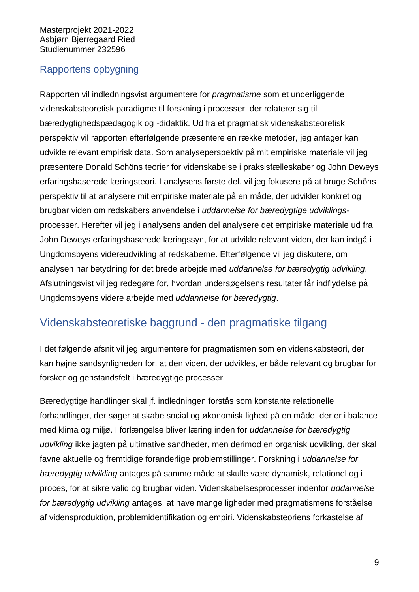# <span id="page-13-0"></span>Rapportens opbygning

Rapporten vil indledningsvist argumentere for *pragmatisme* som et underliggende videnskabsteoretisk paradigme til forskning i processer, der relaterer sig til bæredygtighedspædagogik og -didaktik. Ud fra et pragmatisk videnskabsteoretisk perspektiv vil rapporten efterfølgende præsentere en række metoder, jeg antager kan udvikle relevant empirisk data. Som analyseperspektiv på mit empiriske materiale vil jeg præsentere Donald Schöns teorier for videnskabelse i praksisfælleskaber og John Deweys erfaringsbaserede læringsteori. I analysens første del, vil jeg fokusere på at bruge Schöns perspektiv til at analysere mit empiriske materiale på en måde, der udvikler konkret og brugbar viden om redskabers anvendelse i *uddannelse for bæredygtige udviklings*processer. Herefter vil jeg i analysens anden del analysere det empiriske materiale ud fra John Deweys erfaringsbaserede læringssyn, for at udvikle relevant viden, der kan indgå i Ungdomsbyens videreudvikling af redskaberne. Efterfølgende vil jeg diskutere, om analysen har betydning for det brede arbejde med *uddannelse for bæredygtig udvikling*. Afslutningsvist vil jeg redegøre for, hvordan undersøgelsens resultater får indflydelse på Ungdomsbyens videre arbejde med *uddannelse for bæredygtig*.

# <span id="page-13-1"></span>Videnskabsteoretiske baggrund - den pragmatiske tilgang

I det følgende afsnit vil jeg argumentere for pragmatismen som en videnskabsteori, der kan højne sandsynligheden for, at den viden, der udvikles, er både relevant og brugbar for forsker og genstandsfelt i bæredygtige processer.

Bæredygtige handlinger skal jf. indledningen forstås som konstante relationelle forhandlinger, der søger at skabe social og økonomisk lighed på en måde, der er i balance med klima og miljø. I forlængelse bliver læring inden for *uddannelse for bæredygtig udvikling* ikke jagten på ultimative sandheder, men derimod en organisk udvikling, der skal favne aktuelle og fremtidige foranderlige problemstillinger. Forskning i *uddannelse for bæredygtig udvikling* antages på samme måde at skulle være dynamisk, relationel og i proces, for at sikre valid og brugbar viden. Videnskabelsesprocesser indenfor *uddannelse for bæredygtig udvikling* antages, at have mange ligheder med pragmatismens forståelse af vidensproduktion, problemidentifikation og empiri. Videnskabsteoriens forkastelse af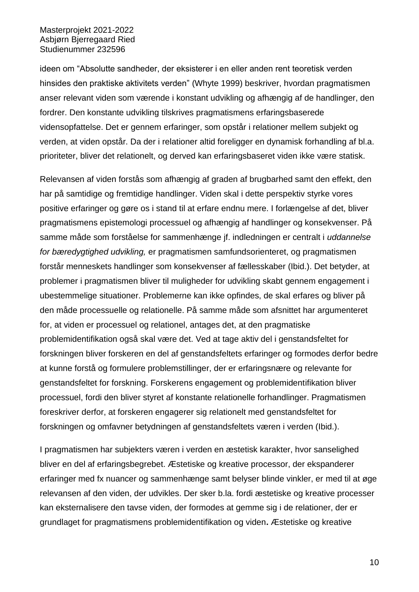ideen om "Absolutte sandheder, der eksisterer i en eller anden rent teoretisk verden hinsides den praktiske aktivitets verden" (Whyte 1999) beskriver, hvordan pragmatismen anser relevant viden som værende i konstant udvikling og afhængig af de handlinger, den fordrer. Den konstante udvikling tilskrives pragmatismens erfaringsbaserede vidensopfattelse. Det er gennem erfaringer, som opstår i relationer mellem subjekt og verden, at viden opstår. Da der i relationer altid foreligger en dynamisk forhandling af bl.a. prioriteter, bliver det relationelt, og derved kan erfaringsbaseret viden ikke være statisk.

Relevansen af viden forstås som afhængig af graden af brugbarhed samt den effekt, den har på samtidige og fremtidige handlinger. Viden skal i dette perspektiv styrke vores positive erfaringer og gøre os i stand til at erfare endnu mere. I forlængelse af det, bliver pragmatismens epistemologi processuel og afhængig af handlinger og konsekvenser. På samme måde som forståelse for sammenhænge jf. indledningen er centralt i *uddannelse for bæredygtighed udvikling,* er pragmatismen samfundsorienteret, og pragmatismen forstår menneskets handlinger som konsekvenser af fællesskaber (Ibid.). Det betyder, at problemer i pragmatismen bliver til muligheder for udvikling skabt gennem engagement i ubestemmelige situationer. Problemerne kan ikke opfindes, de skal erfares og bliver på den måde processuelle og relationelle. På samme måde som afsnittet har argumenteret for, at viden er processuel og relationel, antages det, at den pragmatiske problemidentifikation også skal være det. Ved at tage aktiv del i genstandsfeltet for forskningen bliver forskeren en del af genstandsfeltets erfaringer og formodes derfor bedre at kunne forstå og formulere problemstillinger, der er erfaringsnære og relevante for genstandsfeltet for forskning. Forskerens engagement og problemidentifikation bliver processuel, fordi den bliver styret af konstante relationelle forhandlinger. Pragmatismen foreskriver derfor, at forskeren engagerer sig relationelt med genstandsfeltet for forskningen og omfavner betydningen af genstandsfeltets væren i verden (Ibid.).

I pragmatismen har subjekters væren i verden en æstetisk karakter, hvor sanselighed bliver en del af erfaringsbegrebet. Æstetiske og kreative processor, der ekspanderer erfaringer med fx nuancer og sammenhænge samt belyser blinde vinkler, er med til at øge relevansen af den viden, der udvikles. Der sker b.la. fordi æstetiske og kreative processer kan eksternalisere den tavse viden, der formodes at gemme sig i de relationer, der er grundlaget for pragmatismens problemidentifikation og viden**.** Æstetiske og kreative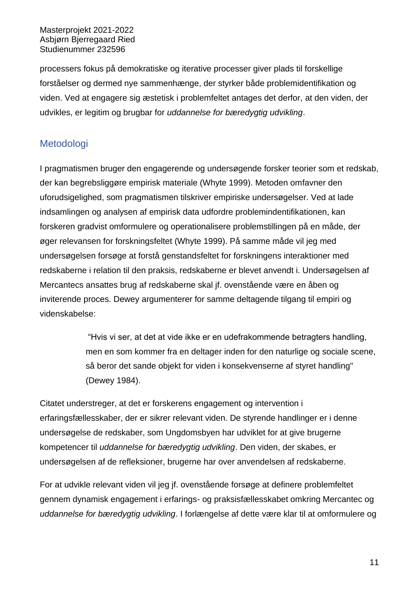processers fokus på demokratiske og iterative processer giver plads til forskellige forståelser og dermed nye sammenhænge, der styrker både problemidentifikation og viden. Ved at engagere sig æstetisk i problemfeltet antages det derfor, at den viden, der udvikles, er legitim og brugbar for *uddannelse for bæredygtig udvikling*.

# <span id="page-15-0"></span>Metodologi

I pragmatismen bruger den engagerende og undersøgende forsker teorier som et redskab, der kan begrebsliggøre empirisk materiale (Whyte 1999). Metoden omfavner den uforudsigelighed, som pragmatismen tilskriver empiriske undersøgelser. Ved at lade indsamlingen og analysen af empirisk data udfordre problemindentifikationen, kan forskeren gradvist omformulere og operationalisere problemstillingen på en måde, der øger relevansen for forskningsfeltet (Whyte 1999). På samme måde vil jeg med undersøgelsen forsøge at forstå genstandsfeltet for forskningens interaktioner med redskaberne i relation til den praksis, redskaberne er blevet anvendt i. Undersøgelsen af Mercantecs ansattes brug af redskaberne skal jf. ovenstående være en åben og inviterende proces. Dewey argumenterer for samme deltagende tilgang til empiri og videnskabelse:

> "Hvis vi ser, at det at vide ikke er en udefrakommende betragters handling, men en som kommer fra en deltager inden for den naturlige og sociale scene, så beror det sande objekt for viden i konsekvenserne af styret handling" (Dewey 1984).

Citatet understreger, at det er forskerens engagement og intervention i erfaringsfællesskaber, der er sikrer relevant viden. De styrende handlinger er i denne undersøgelse de redskaber, som Ungdomsbyen har udviklet for at give brugerne kompetencer til *uddannelse for bæredygtig udvikling*. Den viden, der skabes, er undersøgelsen af de refleksioner, brugerne har over anvendelsen af redskaberne.

For at udvikle relevant viden vil jeg jf. ovenstående forsøge at definere problemfeltet gennem dynamisk engagement i erfarings- og praksisfællesskabet omkring Mercantec og *uddannelse for bæredygtig udvikling*. I forlængelse af dette være klar til at omformulere og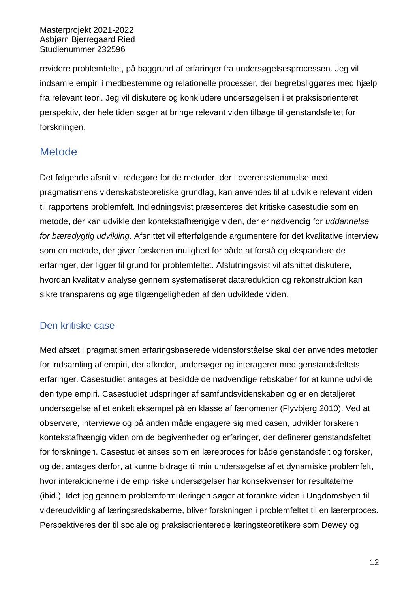revidere problemfeltet, på baggrund af erfaringer fra undersøgelsesprocessen. Jeg vil indsamle empiri i medbestemme og relationelle processer, der begrebsliggøres med hjælp fra relevant teori. Jeg vil diskutere og konkludere undersøgelsen i et praksisorienteret perspektiv, der hele tiden søger at bringe relevant viden tilbage til genstandsfeltet for forskningen.

# <span id="page-16-0"></span>**Metode**

Det følgende afsnit vil redegøre for de metoder, der i overensstemmelse med pragmatismens videnskabsteoretiske grundlag, kan anvendes til at udvikle relevant viden til rapportens problemfelt. Indledningsvist præsenteres det kritiske casestudie som en metode, der kan udvikle den kontekstafhængige viden, der er nødvendig for *uddannelse for bæredygtig udvikling*. Afsnittet vil efterfølgende argumentere for det kvalitative interview som en metode, der giver forskeren mulighed for både at forstå og ekspandere de erfaringer, der ligger til grund for problemfeltet. Afslutningsvist vil afsnittet diskutere, hvordan kvalitativ analyse gennem systematiseret datareduktion og rekonstruktion kan sikre transparens og øge tilgængeligheden af den udviklede viden.

# <span id="page-16-1"></span>Den kritiske case

Med afsæt i pragmatismen erfaringsbaserede vidensforståelse skal der anvendes metoder for indsamling af empiri, der afkoder, undersøger og interagerer med genstandsfeltets erfaringer. Casestudiet antages at besidde de nødvendige rebskaber for at kunne udvikle den type empiri. Casestudiet udspringer af samfundsvidenskaben og er en detaljeret undersøgelse af et enkelt eksempel på en klasse af fænomener (Flyvbjerg 2010). Ved at observere, interviewe og på anden måde engagere sig med casen, udvikler forskeren kontekstafhængig viden om de begivenheder og erfaringer, der definerer genstandsfeltet for forskningen. Casestudiet anses som en læreproces for både genstandsfelt og forsker, og det antages derfor, at kunne bidrage til min undersøgelse af et dynamiske problemfelt, hvor interaktionerne i de empiriske undersøgelser har konsekvenser for resultaterne (ibid.). Idet jeg gennem problemformuleringen søger at forankre viden i Ungdomsbyen til videreudvikling af læringsredskaberne, bliver forskningen i problemfeltet til en lærerproces. Perspektiveres der til sociale og praksisorienterede læringsteoretikere som Dewey og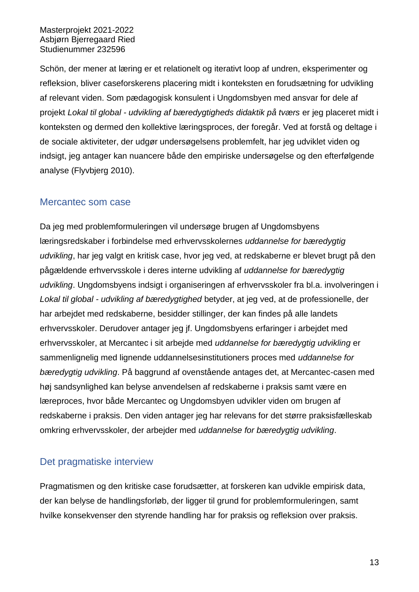Schön, der mener at læring er et relationelt og iterativt loop af undren, eksperimenter og refleksion, bliver caseforskerens placering midt i konteksten en forudsætning for udvikling af relevant viden. Som pædagogisk konsulent i Ungdomsbyen med ansvar for dele af projekt *Lokal til global - udvikling af bæredygtigheds didaktik på tværs* er jeg placeret midt i konteksten og dermed den kollektive læringsproces, der foregår. Ved at forstå og deltage i de sociale aktiviteter, der udgør undersøgelsens problemfelt, har jeg udviklet viden og indsigt, jeg antager kan nuancere både den empiriske undersøgelse og den efterfølgende analyse (Flyvbjerg 2010).

## <span id="page-17-0"></span>Mercantec som case

Da jeg med problemformuleringen vil undersøge brugen af Ungdomsbyens læringsredskaber i forbindelse med erhvervsskolernes *uddannelse for bæredygtig udvikling*, har jeg valgt en kritisk case, hvor jeg ved, at redskaberne er blevet brugt på den pågældende erhvervsskole i deres interne udvikling af *uddannelse for bæredygtig udvikling*. Ungdomsbyens indsigt i organiseringen af erhvervsskoler fra bl.a. involveringen i *Lokal til global - udvikling af bæredygtighed* betyder, at jeg ved, at de professionelle, der har arbejdet med redskaberne, besidder stillinger, der kan findes på alle landets erhvervsskoler. Derudover antager jeg jf. Ungdomsbyens erfaringer i arbejdet med erhvervsskoler, at Mercantec i sit arbejde med *uddannelse for bæredygtig udvikling* er sammenlignelig med lignende uddannelsesinstitutioners proces med *uddannelse for bæredygtig udvikling*. På baggrund af ovenstående antages det, at Mercantec-casen med høj sandsynlighed kan belyse anvendelsen af redskaberne i praksis samt være en læreproces, hvor både Mercantec og Ungdomsbyen udvikler viden om brugen af redskaberne i praksis. Den viden antager jeg har relevans for det større praksisfælleskab omkring erhvervsskoler, der arbejder med *uddannelse for bæredygtig udvikling*.

# <span id="page-17-1"></span>Det pragmatiske interview

Pragmatismen og den kritiske case forudsætter, at forskeren kan udvikle empirisk data, der kan belyse de handlingsforløb, der ligger til grund for problemformuleringen, samt hvilke konsekvenser den styrende handling har for praksis og refleksion over praksis.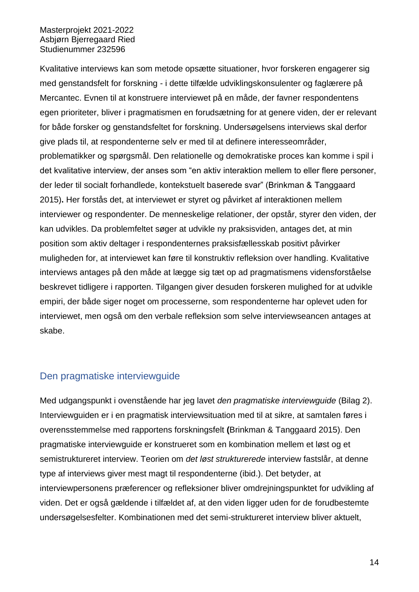Kvalitative interviews kan som metode opsætte situationer, hvor forskeren engagerer sig med genstandsfelt for forskning - i dette tilfælde udviklingskonsulenter og faglærere på Mercantec. Evnen til at konstruere interviewet på en måde, der favner respondentens egen prioriteter, bliver i pragmatismen en forudsætning for at genere viden, der er relevant for både forsker og genstandsfeltet for forskning. Undersøgelsens interviews skal derfor give plads til, at respondenterne selv er med til at definere interesseområder, problematikker og spørgsmål. Den relationelle og demokratiske proces kan komme i spil i det kvalitative interview, der anses som "en aktiv interaktion mellem to eller flere personer, der leder til socialt forhandlede, kontekstuelt baserede svar" (Brinkman & Tanggaard 2015)**.** Her forstås det, at interviewet er styret og påvirket af interaktionen mellem interviewer og respondenter. De menneskelige relationer, der opstår, styrer den viden, der kan udvikles. Da problemfeltet søger at udvikle ny praksisviden, antages det, at min position som aktiv deltager i respondenternes praksisfællesskab positivt påvirker muligheden for, at interviewet kan føre til konstruktiv refleksion over handling. Kvalitative interviews antages på den måde at lægge sig tæt op ad pragmatismens vidensforståelse beskrevet tidligere i rapporten. Tilgangen giver desuden forskeren mulighed for at udvikle empiri, der både siger noget om processerne, som respondenterne har oplevet uden for interviewet, men også om den verbale refleksion som selve interviewseancen antages at skabe.

## <span id="page-18-0"></span>Den pragmatiske interviewguide

Med udgangspunkt i ovenstående har jeg lavet *den pragmatiske interviewguide* (Bilag 2). Interviewguiden er i en pragmatisk interviewsituation med til at sikre, at samtalen føres i overensstemmelse med rapportens forskningsfelt **(**Brinkman & Tanggaard 2015). Den pragmatiske interviewguide er konstrueret som en kombination mellem et løst og et semistruktureret interview. Teorien om *det løst strukturerede* interview fastslår, at denne type af interviews giver mest magt til respondenterne (ibid.). Det betyder, at interviewpersonens præferencer og refleksioner bliver omdrejningspunktet for udvikling af viden. Det er også gældende i tilfældet af, at den viden ligger uden for de forudbestemte undersøgelsesfelter. Kombinationen med det semi-struktureret interview bliver aktuelt,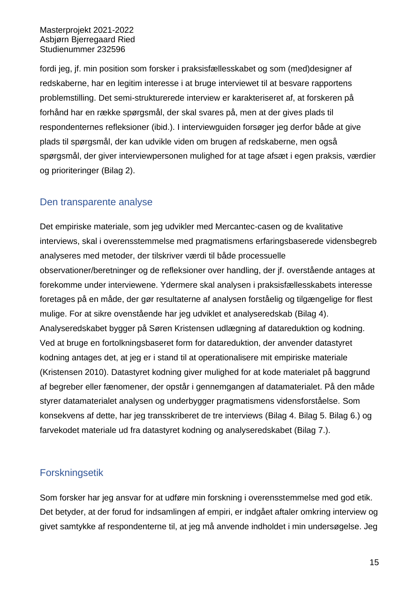fordi jeg, jf. min position som forsker i praksisfællesskabet og som (med)designer af redskaberne, har en legitim interesse i at bruge interviewet til at besvare rapportens problemstilling. Det semi-strukturerede interview er karakteriseret af, at forskeren på forhånd har en række spørgsmål, der skal svares på, men at der gives plads til respondenternes refleksioner (ibid.). I interviewguiden forsøger jeg derfor både at give plads til spørgsmål, der kan udvikle viden om brugen af redskaberne, men også spørgsmål, der giver interviewpersonen mulighed for at tage afsæt i egen praksis, værdier og prioriteringer (Bilag 2).

## <span id="page-19-0"></span>Den transparente analyse

Det empiriske materiale, som jeg udvikler med Mercantec-casen og de kvalitative interviews, skal i overensstemmelse med pragmatismens erfaringsbaserede vidensbegreb analyseres med metoder, der tilskriver værdi til både processuelle observationer/beretninger og de refleksioner over handling, der jf. overstående antages at forekomme under interviewene. Ydermere skal analysen i praksisfællesskabets interesse foretages på en måde, der gør resultaterne af analysen forståelig og tilgængelige for flest mulige. For at sikre ovenstående har jeg udviklet et analyseredskab (Bilag 4). Analyseredskabet bygger på Søren Kristensen udlægning af datareduktion og kodning. Ved at bruge en fortolkningsbaseret form for datareduktion, der anvender datastyret kodning antages det, at jeg er i stand til at operationalisere mit empiriske materiale (Kristensen 2010). Datastyret kodning giver mulighed for at kode materialet på baggrund af begreber eller fænomener, der opstår i gennemgangen af datamaterialet. På den måde styrer datamaterialet analysen og underbygger pragmatismens vidensforståelse. Som konsekvens af dette, har jeg transskriberet de tre interviews (Bilag 4. Bilag 5. Bilag 6.) og farvekodet materiale ud fra datastyret kodning og analyseredskabet (Bilag 7.).

## <span id="page-19-1"></span>Forskningsetik

Som forsker har jeg ansvar for at udføre min forskning i overensstemmelse med god etik. Det betyder, at der forud for indsamlingen af empiri, er indgået aftaler omkring interview og givet samtykke af respondenterne til, at jeg må anvende indholdet i min undersøgelse. Jeg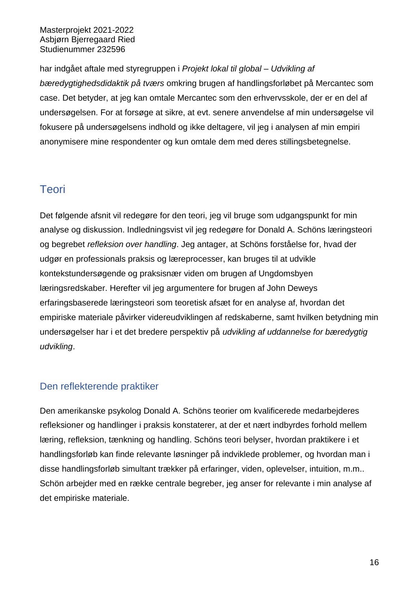har indgået aftale med styregruppen i *Projekt lokal til global – Udvikling af bæredygtighedsdidaktik på tværs* omkring brugen af handlingsforløbet på Mercantec som case. Det betyder, at jeg kan omtale Mercantec som den erhvervsskole, der er en del af undersøgelsen. For at forsøge at sikre, at evt. senere anvendelse af min undersøgelse vil fokusere på undersøgelsens indhold og ikke deltagere, vil jeg i analysen af min empiri anonymisere mine respondenter og kun omtale dem med deres stillingsbetegnelse.

# <span id="page-20-0"></span>**Teori**

Det følgende afsnit vil redegøre for den teori, jeg vil bruge som udgangspunkt for min analyse og diskussion. Indledningsvist vil jeg redegøre for Donald A. Schöns læringsteori og begrebet *refleksion over handling*. Jeg antager, at Schöns forståelse for, hvad der udgør en professionals praksis og læreprocesser, kan bruges til at udvikle kontekstundersøgende og praksisnær viden om brugen af Ungdomsbyen læringsredskaber. Herefter vil jeg argumentere for brugen af John Deweys erfaringsbaserede læringsteori som teoretisk afsæt for en analyse af, hvordan det empiriske materiale påvirker videreudviklingen af redskaberne, samt hvilken betydning min undersøgelser har i et det bredere perspektiv på *udvikling af uddannelse for bæredygtig udvikling*.

# <span id="page-20-1"></span>Den reflekterende praktiker

Den amerikanske psykolog Donald A. Schöns teorier om kvalificerede medarbejderes refleksioner og handlinger i praksis konstaterer, at der et nært indbyrdes forhold mellem læring, refleksion, tænkning og handling. Schöns teori belyser, hvordan praktikere i et handlingsforløb kan finde relevante løsninger på indviklede problemer, og hvordan man i disse handlingsforløb simultant trækker på erfaringer, viden, oplevelser, intuition, m.m.. Schön arbejder med en række centrale begreber, jeg anser for relevante i min analyse af det empiriske materiale.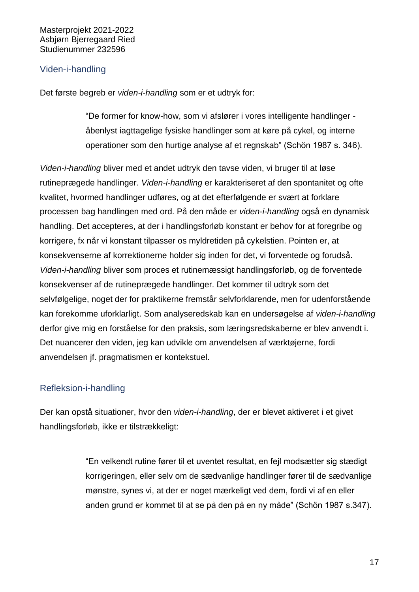#### <span id="page-21-0"></span>Viden-i-handling

Det første begreb er *viden-i-handling* som er et udtryk for:

"De former for know-how, som vi afslører i vores intelligente handlinger åbenlyst iagttagelige fysiske handlinger som at køre på cykel, og interne operationer som den hurtige analyse af et regnskab" (Schön 1987 s. 346).

*Viden-i-handling* bliver med et andet udtryk den tavse viden, vi bruger til at løse rutineprægede handlinger. *Viden-i-handling* er karakteriseret af den spontanitet og ofte kvalitet, hvormed handlinger udføres, og at det efterfølgende er svært at forklare processen bag handlingen med ord. På den måde er *viden-i-handling* også en dynamisk handling. Det accepteres, at der i handlingsforløb konstant er behov for at foregribe og korrigere, fx når vi konstant tilpasser os myldretiden på cykelstien. Pointen er, at konsekvenserne af korrektionerne holder sig inden for det, vi forventede og forudså. *Viden-i-handling* bliver som proces et rutinemæssigt handlingsforløb, og de forventede konsekvenser af de rutineprægede handlinger. Det kommer til udtryk som det selvfølgelige, noget der for praktikerne fremstår selvforklarende, men for udenforstående kan forekomme uforklarligt. Som analyseredskab kan en undersøgelse af *viden-i-handling* derfor give mig en forståelse for den praksis, som læringsredskaberne er blev anvendt i. Det nuancerer den viden, jeg kan udvikle om anvendelsen af værktøjerne, fordi anvendelsen jf. pragmatismen er kontekstuel.

#### <span id="page-21-1"></span>Refleksion-i-handling

Der kan opstå situationer, hvor den *viden-i-handling*, der er blevet aktiveret i et givet handlingsforløb, ikke er tilstrækkeligt:

> "En velkendt rutine fører til et uventet resultat, en fejl modsætter sig stædigt korrigeringen, eller selv om de sædvanlige handlinger fører til de sædvanlige mønstre, synes vi, at der er noget mærkeligt ved dem, fordi vi af en eller anden grund er kommet til at se på den på en ny måde" (Schön 1987 s.347).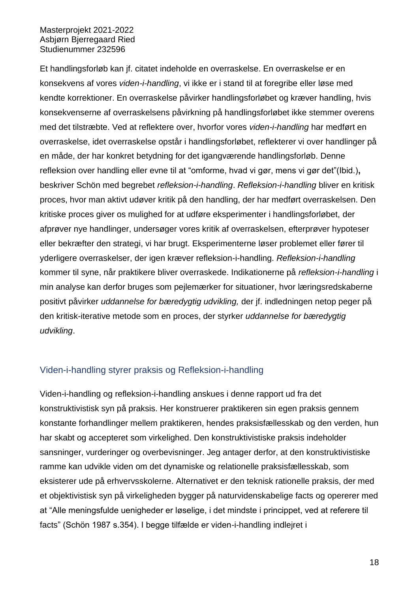Et handlingsforløb kan jf. citatet indeholde en overraskelse. En overraskelse er en konsekvens af vores *viden-i-handling*, vi ikke er i stand til at foregribe eller løse med kendte korrektioner. En overraskelse påvirker handlingsforløbet og kræver handling, hvis konsekvenserne af overraskelsens påvirkning på handlingsforløbet ikke stemmer overens med det tilstræbte. Ved at reflektere over, hvorfor vores *viden-i-handling* har medført en overraskelse, idet overraskelse opstår i handlingsforløbet, reflekterer vi over handlinger på en måde, der har konkret betydning for det igangværende handlingsforløb. Denne refleksion over handling eller evne til at "omforme, hvad vi gør, mens vi gør det"(Ibid.)**,**  beskriver Schön med begrebet *refleksion-i-handling*. *Refleksion-i-handling* bliver en kritisk proces, hvor man aktivt udøver kritik på den handling, der har medført overraskelsen. Den kritiske proces giver os mulighed for at udføre eksperimenter i handlingsforløbet, der afprøver nye handlinger, undersøger vores kritik af overraskelsen, efterprøver hypoteser eller bekræfter den strategi, vi har brugt. Eksperimenterne løser problemet eller fører til yderligere overraskelser, der igen kræver refleksion-i-handling. *Refleksion-i-handling* kommer til syne, når praktikere bliver overraskede. Indikationerne på *refleksion-i-handling* i min analyse kan derfor bruges som pejlemærker for situationer, hvor læringsredskaberne positivt påvirker *uddannelse for bæredygtig udvikling,* der jf. indledningen netop peger på den kritisk-iterative metode som en proces, der styrker *uddannelse for bæredygtig udvikling*.

#### <span id="page-22-0"></span>Viden-i-handling styrer praksis og Refleksion-i-handling

Viden-i-handling og refleksion-i-handling anskues i denne rapport ud fra det konstruktivistisk syn på praksis. Her konstruerer praktikeren sin egen praksis gennem konstante forhandlinger mellem praktikeren, hendes praksisfællesskab og den verden, hun har skabt og accepteret som virkelighed. Den konstruktivistiske praksis indeholder sansninger, vurderinger og overbevisninger. Jeg antager derfor, at den konstruktivistiske ramme kan udvikle viden om det dynamiske og relationelle praksisfællesskab, som eksisterer ude på erhvervsskolerne. Alternativet er den teknisk rationelle praksis, der med et objektivistisk syn på virkeligheden bygger på naturvidenskabelige facts og opererer med at "Alle meningsfulde uenigheder er løselige, i det mindste i princippet, ved at referere til facts" (Schön 1987 s.354). I begge tilfælde er viden-i-handling indlejret i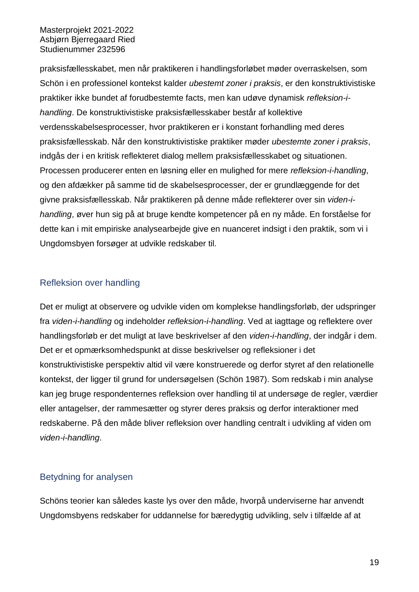praksisfællesskabet, men når praktikeren i handlingsforløbet møder overraskelsen, som Schön i en professionel kontekst kalder *ubestemt zoner i praksis*, er den konstruktivistiske praktiker ikke bundet af forudbestemte facts, men kan udøve dynamisk *refleksion-ihandling*. De konstruktivistiske praksisfællesskaber består af kollektive verdensskabelsesprocesser, hvor praktikeren er i konstant forhandling med deres praksisfællesskab. Når den konstruktivistiske praktiker møder *ubestemte zoner i praksis*, indgås der i en kritisk reflekteret dialog mellem praksisfællesskabet og situationen. Processen producerer enten en løsning eller en mulighed for mere *refleksion-i-handling*, og den afdækker på samme tid de skabelsesprocesser, der er grundlæggende for det givne praksisfællesskab. Når praktikeren på denne måde reflekterer over sin *viden-ihandling*, øver hun sig på at bruge kendte kompetencer på en ny måde. En forståelse for dette kan i mit empiriske analysearbejde give en nuanceret indsigt i den praktik, som vi i Ungdomsbyen forsøger at udvikle redskaber til.

## <span id="page-23-0"></span>Refleksion over handling

Det er muligt at observere og udvikle viden om komplekse handlingsforløb, der udspringer fra *viden-i-handling* og indeholder *refleksion-i-handling*. Ved at iagttage og reflektere over handlingsforløb er det muligt at lave beskrivelser af den *viden-i-handling*, der indgår i dem. Det er et opmærksomhedspunkt at disse beskrivelser og refleksioner i det konstruktivistiske perspektiv altid vil være konstruerede og derfor styret af den relationelle kontekst, der ligger til grund for undersøgelsen (Schön 1987). Som redskab i min analyse kan jeg bruge respondenternes refleksion over handling til at undersøge de regler, værdier eller antagelser, der rammesætter og styrer deres praksis og derfor interaktioner med redskaberne. På den måde bliver refleksion over handling centralt i udvikling af viden om *viden-i-handling*.

## <span id="page-23-1"></span>Betydning for analysen

Schöns teorier kan således kaste lys over den måde, hvorpå underviserne har anvendt Ungdomsbyens redskaber for uddannelse for bæredygtig udvikling, selv i tilfælde af at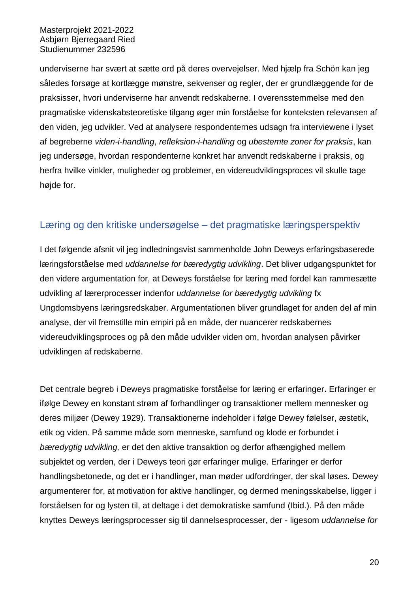underviserne har svært at sætte ord på deres overvejelser. Med hjælp fra Schön kan jeg således forsøge at kortlægge mønstre, sekvenser og regler, der er grundlæggende for de praksisser, hvori underviserne har anvendt redskaberne. I overensstemmelse med den pragmatiske videnskabsteoretiske tilgang øger min forståelse for konteksten relevansen af den viden, jeg udvikler. Ved at analysere respondenternes udsagn fra interviewene i lyset af begreberne *viden-i-handling*, *refleksion-i-handling* og *ubestemte zoner for praksis*, kan jeg undersøge, hvordan respondenterne konkret har anvendt redskaberne i praksis, og herfra hvilke vinkler, muligheder og problemer, en videreudviklingsproces vil skulle tage højde for.

## <span id="page-24-0"></span>Læring og den kritiske undersøgelse – det pragmatiske læringsperspektiv

I det følgende afsnit vil jeg indledningsvist sammenholde John Deweys erfaringsbaserede læringsforståelse med *uddannelse for bæredygtig udvikling*. Det bliver udgangspunktet for den videre argumentation for, at Deweys forståelse for læring med fordel kan rammesætte udvikling af lærerprocesser indenfor *uddannelse for bæredygtig udvikling* fx Ungdomsbyens læringsredskaber. Argumentationen bliver grundlaget for anden del af min analyse, der vil fremstille min empiri på en måde, der nuancerer redskabernes videreudviklingsproces og på den måde udvikler viden om, hvordan analysen påvirker udviklingen af redskaberne.

Det centrale begreb i Deweys pragmatiske forståelse for læring er erfaringer**.** Erfaringer er ifølge Dewey en konstant strøm af forhandlinger og transaktioner mellem mennesker og deres miljøer (Dewey 1929). Transaktionerne indeholder i følge Dewey følelser, æstetik, etik og viden. På samme måde som menneske, samfund og klode er forbundet i *bæredygtig udvikling,* er det den aktive transaktion og derfor afhængighed mellem subjektet og verden, der i Deweys teori gør erfaringer mulige. Erfaringer er derfor handlingsbetonede, og det er i handlinger, man møder udfordringer, der skal løses. Dewey argumenterer for, at motivation for aktive handlinger, og dermed meningsskabelse, ligger i forståelsen for og lysten til, at deltage i det demokratiske samfund (Ibid.). På den måde knyttes Deweys læringsprocesser sig til dannelsesprocesser, der - ligesom *uddannelse for*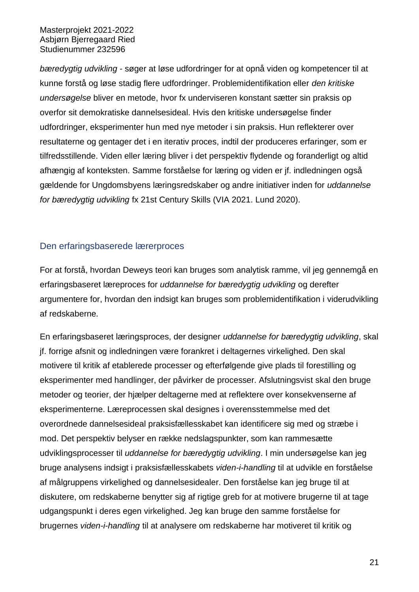*bæredygtig udvikling* - søger at løse udfordringer for at opnå viden og kompetencer til at kunne forstå og løse stadig flere udfordringer. Problemidentifikation eller *den kritiske undersøgelse* bliver en metode, hvor fx underviseren konstant sætter sin praksis op overfor sit demokratiske dannelsesideal. Hvis den kritiske undersøgelse finder udfordringer, eksperimenter hun med nye metoder i sin praksis. Hun reflekterer over resultaterne og gentager det i en iterativ proces, indtil der produceres erfaringer, som er tilfredsstillende. Viden eller læring bliver i det perspektiv flydende og foranderligt og altid afhængig af konteksten. Samme forståelse for læring og viden er jf. indledningen også gældende for Ungdomsbyens læringsredskaber og andre initiativer inden for *uddannelse for bæredygtig udvikling* fx 21st Century Skills (VIA 2021. Lund 2020).

## <span id="page-25-0"></span>Den erfaringsbaserede lærerproces

For at forstå, hvordan Deweys teori kan bruges som analytisk ramme, vil jeg gennemgå en erfaringsbaseret læreproces for *uddannelse for bæredygtig udvikling* og derefter argumentere for, hvordan den indsigt kan bruges som problemidentifikation i viderudvikling af redskaberne*.*

En erfaringsbaseret læringsproces, der designer *uddannelse for bæredygtig udvikling*, skal jf. forrige afsnit og indledningen være forankret i deltagernes virkelighed. Den skal motivere til kritik af etablerede processer og efterfølgende give plads til forestilling og eksperimenter med handlinger, der påvirker de processer. Afslutningsvist skal den bruge metoder og teorier, der hjælper deltagerne med at reflektere over konsekvenserne af eksperimenterne. Læreprocessen skal designes i overensstemmelse med det overordnede dannelsesideal praksisfællesskabet kan identificere sig med og stræbe i mod. Det perspektiv belyser en række nedslagspunkter, som kan rammesætte udviklingsprocesser til *uddannelse for bæredygtig udvikling*. I min undersøgelse kan jeg bruge analysens indsigt i praksisfællesskabets *viden-i-handling* til at udvikle en forståelse af målgruppens virkelighed og dannelsesidealer. Den forståelse kan jeg bruge til at diskutere, om redskaberne benytter sig af rigtige greb for at motivere brugerne til at tage udgangspunkt i deres egen virkelighed. Jeg kan bruge den samme forståelse for brugernes *viden-i-handling* til at analysere om redskaberne har motiveret til kritik og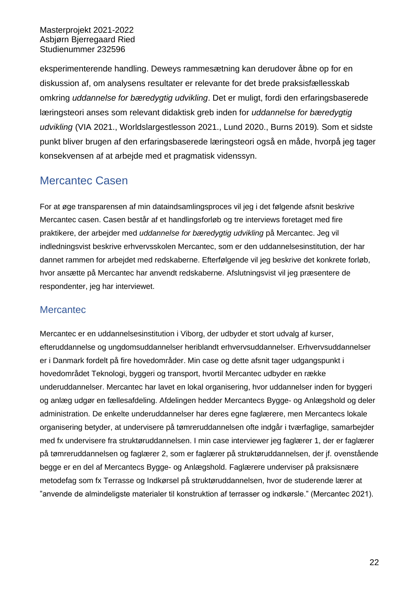eksperimenterende handling. Deweys rammesætning kan derudover åbne op for en diskussion af, om analysens resultater er relevante for det brede praksisfællesskab omkring *uddannelse for bæredygtig udvikling*. Det er muligt, fordi den erfaringsbaserede læringsteori anses som relevant didaktisk greb inden for *uddannelse for bæredygtig udvikling* (VIA 2021., Worldslargestlesson 2021., Lund 2020., Burns 2019)*.* Som et sidste punkt bliver brugen af den erfaringsbaserede læringsteori også en måde, hvorpå jeg tager konsekvensen af at arbejde med et pragmatisk videnssyn.

# <span id="page-26-0"></span>Mercantec Casen

For at øge transparensen af min dataindsamlingsproces vil jeg i det følgende afsnit beskrive Mercantec casen. Casen består af et handlingsforløb og tre interviews foretaget med fire praktikere, der arbejder med *uddannelse for bæredygtig udvikling* på Mercantec. Jeg vil indledningsvist beskrive erhvervsskolen Mercantec, som er den uddannelsesinstitution, der har dannet rammen for arbejdet med redskaberne. Efterfølgende vil jeg beskrive det konkrete forløb, hvor ansætte på Mercantec har anvendt redskaberne. Afslutningsvist vil jeg præsentere de respondenter, jeg har interviewet.

## <span id="page-26-1"></span>**Mercantec**

Mercantec er en uddannelsesinstitution i Viborg, der udbyder et stort udvalg af kurser, efteruddannelse og ungdomsuddannelser heriblandt erhvervsuddannelser. Erhvervsuddannelser er i Danmark fordelt på fire hovedområder. Min case og dette afsnit tager udgangspunkt i hovedområdet Teknologi, byggeri og transport, hvortil Mercantec udbyder en række underuddannelser. Mercantec har lavet en lokal organisering, hvor uddannelser inden for byggeri og anlæg udgør en fællesafdeling. Afdelingen hedder Mercantecs Bygge- og Anlægshold og deler administration. De enkelte underuddannelser har deres egne faglærere, men Mercantecs lokale organisering betyder, at undervisere på tømreruddannelsen ofte indgår i tværfaglige, samarbejder med fx undervisere fra struktøruddannelsen. I min case interviewer jeg faglærer 1, der er faglærer på tømreruddannelsen og faglærer 2, som er faglærer på struktøruddannelsen, der jf. ovenstående begge er en del af Mercantecs Bygge- og Anlægshold. Faglærere underviser på praksisnære metodefag som fx Terrasse og Indkørsel på struktøruddannelsen, hvor de studerende lærer at "anvende de almindeligste materialer til konstruktion af terrasser og indkørsle." (Mercantec 2021).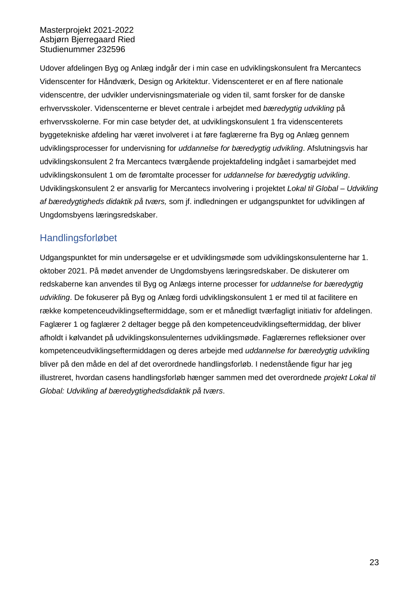Udover afdelingen Byg og Anlæg indgår der i min case en udviklingskonsulent fra Mercantecs Videnscenter for Håndværk, Design og Arkitektur. Videnscenteret er en af flere nationale videnscentre, der udvikler undervisningsmateriale og viden til, samt forsker for de danske erhvervsskoler. Videnscenterne er blevet centrale i arbejdet med *bæredygtig udvikling* på erhvervsskolerne. For min case betyder det, at udviklingskonsulent 1 fra videnscenterets byggetekniske afdeling har været involveret i at føre faglærerne fra Byg og Anlæg gennem udviklingsprocesser for undervisning for *uddannelse for bæredygtig udvikling*. Afslutningsvis har udviklingskonsulent 2 fra Mercantecs tværgående projektafdeling indgået i samarbejdet med udviklingskonsulent 1 om de føromtalte processer for *uddannelse for bæredygtig udvikling*. Udviklingskonsulent 2 er ansvarlig for Mercantecs involvering i projektet *Lokal til Global – Udvikling af bæredygtigheds didaktik på tværs,* som jf. indledningen er udgangspunktet for udviklingen af Ungdomsbyens læringsredskaber.

## <span id="page-27-0"></span>Handlingsforløbet

Udgangspunktet for min undersøgelse er et udviklingsmøde som udviklingskonsulenterne har 1. oktober 2021. På mødet anvender de Ungdomsbyens læringsredskaber. De diskuterer om redskaberne kan anvendes til Byg og Anlægs interne processer for *uddannelse for bæredygtig udvikling*. De fokuserer på Byg og Anlæg fordi udviklingskonsulent 1 er med til at facilitere en række kompetenceudviklingseftermiddage, som er et månedligt tværfagligt initiativ for afdelingen. Faglærer 1 og faglærer 2 deltager begge på den kompetenceudviklingseftermiddag, der bliver afholdt i kølvandet på udviklingskonsulenternes udviklingsmøde. Faglærernes refleksioner over kompetenceudviklingseftermiddagen og deres arbejde med *uddannelse for bæredygtig udviklin*g bliver på den måde en del af det overordnede handlingsforløb. I nedenstående figur har jeg illustreret, hvordan casens handlingsforløb hænger sammen med det overordnede *projekt Lokal til Global: Udvikling af bæredygtighedsdidaktik på tværs*.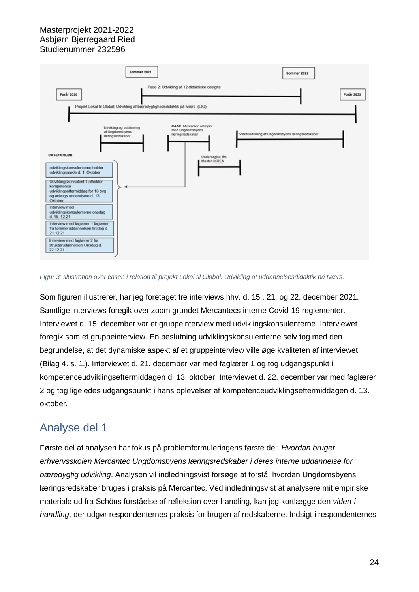

*Figur 3: Illustration over casen i relation til projekt Lokal til Global: Udvikling af uddannelsesdidaktik på tværs.*

Som figuren illustrerer, har jeg foretaget tre interviews hhv. d. 15., 21. og 22. december 2021. Samtlige interviews foregik over zoom grundet Mercantecs interne Covid-19 reglementer. Interviewet d. 15. december var et gruppeinterview med udviklingskonsulenterne. Interviewet foregik som et gruppeinterview. En beslutning udviklingskonsulenterne selv tog med den begrundelse, at det dynamiske aspekt af et gruppeinterview ville øge kvaliteten af interviewet (Bilag 4. s. 1.). Interviewet d. 21. december var med faglærer 1 og tog udgangspunkt i kompetenceudviklingseftermiddagen d. 13. oktober. Interviewet d. 22. december var med faglærer 2 og tog ligeledes udgangspunkt i hans oplevelser af kompetenceudviklingseftermiddagen d. 13. oktober.

# <span id="page-28-0"></span>Analyse del 1

Første del af analysen har fokus på problemformuleringens første del: *Hvordan bruger erhvervsskolen Mercantec Ungdomsbyens læringsredskaber i deres interne uddannelse for bæredygtig udvikling*. Analysen vil indledningsvist forsøge at forstå, hvordan Ungdomsbyens læringsredskaber bruges i praksis på Mercantec. Ved indledningsvist at analysere mit empiriske materiale ud fra Schöns forståelse af refleksion over handling, kan jeg kortlægge den *viden-ihandling*, der udgør respondenternes praksis for brugen af redskaberne. Indsigt i respondenternes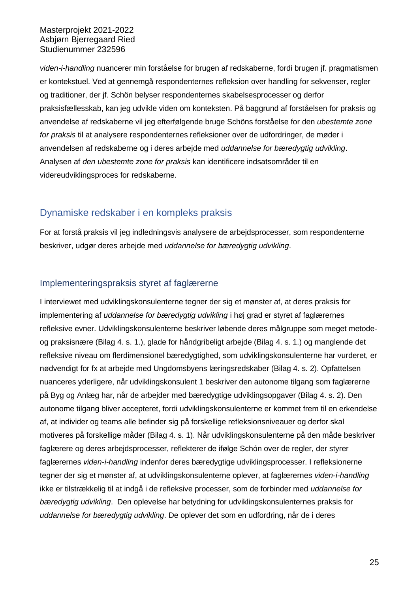*viden-i-handling* nuancerer min forståelse for brugen af redskaberne, fordi brugen jf. pragmatismen er kontekstuel. Ved at gennemgå respondenternes refleksion over handling for sekvenser, regler og traditioner, der jf. Schön belyser respondenternes skabelsesprocesser og derfor praksisfællesskab, kan jeg udvikle viden om konteksten. På baggrund af forståelsen for praksis og anvendelse af redskaberne vil jeg efterfølgende bruge Schöns forståelse for den *ubestemte zone for praksis* til at analysere respondenternes refleksioner over de udfordringer, de møder i anvendelsen af redskaberne og i deres arbejde med *uddannelse for bæredygtig udvikling*. Analysen af *den ubestemte zone for praksis* kan identificere indsatsområder til en videreudviklingsproces for redskaberne.

# <span id="page-29-0"></span>Dynamiske redskaber i en kompleks praksis

For at forstå praksis vil jeg indledningsvis analysere de arbejdsprocesser, som respondenterne beskriver, udgør deres arbejde med *uddannelse for bæredygtig udvikling*.

## <span id="page-29-1"></span>Implementeringspraksis styret af faglærerne

I interviewet med udviklingskonsulenterne tegner der sig et mønster af, at deres praksis for implementering af *uddannelse for bæredygtig udvikling* i høj grad er styret af faglærernes refleksive evner. Udviklingskonsulenterne beskriver løbende deres målgruppe som meget metodeog praksisnære (Bilag 4. s. 1.), glade for håndgribeligt arbejde (Bilag 4. s. 1.) og manglende det refleksive niveau om flerdimensionel bæredygtighed, som udviklingskonsulenterne har vurderet, er nødvendigt for fx at arbejde med Ungdomsbyens læringsredskaber (Bilag 4. s. 2). Opfattelsen nuanceres yderligere, når udviklingskonsulent 1 beskriver den autonome tilgang som faglærerne på Byg og Anlæg har, når de arbejder med bæredygtige udviklingsopgaver (Bilag 4. s. 2). Den autonome tilgang bliver accepteret, fordi udviklingskonsulenterne er kommet frem til en erkendelse af, at individer og teams alle befinder sig på forskellige refleksionsniveauer og derfor skal motiveres på forskellige måder (Bilag 4. s. 1). Når udviklingskonsulenterne på den måde beskriver faglærere og deres arbejdsprocesser, reflekterer de ifølge Schón over de regler, der styrer faglærernes *viden-i-handling* indenfor deres bæredygtige udviklingsprocesser. I refleksionerne tegner der sig et mønster af, at udviklingskonsulenterne oplever, at faglærernes *viden-i-handling* ikke er tilstrækkelig til at indgå i de refleksive processer, som de forbinder med *uddannelse for bæredygtig udvikling*. Den oplevelse har betydning for udviklingskonsulenternes praksis for *uddannelse for bæredygtig udvikling*. De oplever det som en udfordring, når de i deres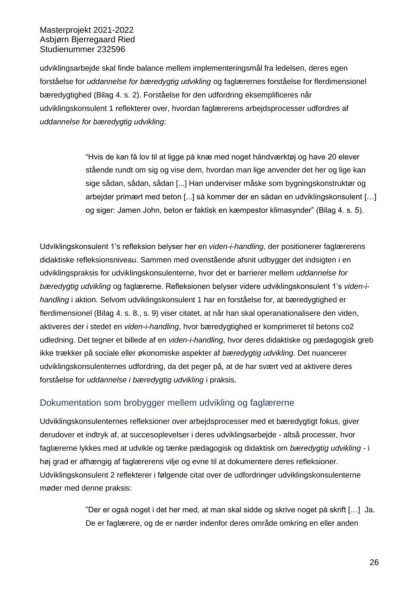udviklingsarbejde skal finde balance mellem implementeringsmål fra ledelsen, deres egen forståelse for *uddannelse for bæredygtig udvikling* og faglærernes forståelse for flerdimensionel bæredygtighed (Bilag 4. s. 2). Forståelse for den udfordring eksemplificeres når udviklingskonsulent 1 reflekterer over, hvordan faglærerens arbejdsprocesser udfordres af *uddannelse for bæredygtig udvikling*:

> "Hvis de kan få lov til at ligge på knæ med noget håndværktøj og have 20 elever stående rundt om sig og vise dem, hvordan man lige anvender det her og lige kan sige sådan, sådan, sådan [...] Han underviser måske som bygningskonstruktør og arbejder primært med beton [...] så kommer der en sådan en udviklingskonsulent […] og siger: Jamen John, beton er faktisk en kæmpestor klimasynder" (Bilag 4. s. 5).

Udviklingskonsulent 1's refleksion belyser her en *viden-i-handling*, der positionerer faglærerens didaktiske refleksionsniveau. Sammen med ovenstående afsnit udbygger det indsigten i en udviklingspraksis for udviklingskonsulenterne, hvor det er barrierer mellem *uddannelse for bæredygtig udvikling* og faglærerne. Refleksionen belyser videre udviklingskonsulent 1's *viden-ihandling* i aktion. Selvom udviklingskonsulent 1 har en forståelse for, at bæredygtighed er flerdimensionel (Bilag 4. s. 8., s. 9) viser citatet, at når han skal operanationalisere den viden, aktiveres der i stedet en *viden-i-handling*, hvor bæredygtighed er komprimeret til betons co2 udledning. Det tegner et billede af en *viden-i-handling*, hvor deres didaktiske og pædagogisk greb ikke trækker på sociale eller økonomiske aspekter af *bæredygtig udvikling.* Det nuancerer udviklingskonsulenternes udfordring, da det peger på, at de har svært ved at aktivere deres forståelse for *uddannelse i bæredygtig udvikling* i praksis.

#### <span id="page-30-0"></span>Dokumentation som brobygger mellem udvikling og faglærerne

Udviklingskonsulenternes refleksioner over arbejdsprocesser med et bæredygtigt fokus, giver derudover et indtryk af, at succesoplevelser i deres udviklingsarbejde - altså processer, hvor faglærerne lykkes med at udvikle og tænke pædagogisk og didaktisk om *bæredygtig udvikling* - i høj grad er afhængig af faglærerens vilje og evne til at dokumentere deres refleksioner. Udviklingskonsulent 2 reflekterer i følgende citat over de udfordringer udviklingskonsulenterne møder med denne praksis:

> "Der er også noget i det her med, at man skal sidde og skrive noget på skrift […] Ja. De er faglærere, og de er nørder indenfor deres område omkring en eller anden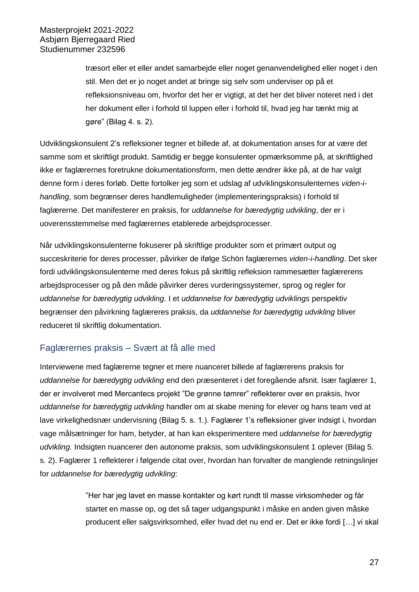træsort eller et eller andet samarbejde eller noget genanvendelighed eller noget i den stil. Men det er jo noget andet at bringe sig selv som underviser op på et refleksionsniveau om, hvorfor det her er vigtigt, at det her det bliver noteret ned i det her dokument eller i forhold til luppen eller i forhold til, hvad jeg har tænkt mig at gøre" (Bilag 4. s. 2).

Udviklingskonsulent 2's refleksioner tegner et billede af, at dokumentation anses for at være det samme som et skriftligt produkt. Samtidig er begge konsulenter opmærksomme på, at skriftlighed ikke er faglærernes foretrukne dokumentationsform, men dette ændrer ikke på, at de har valgt denne form i deres forløb. Dette fortolker jeg som et udslag af udviklingskonsulenternes *viden-ihandling*, som begrænser deres handlemuligheder (implementeringspraksis) i forhold til faglærerne. Det manifesterer en praksis, for *uddannelse for bæredygtig udvikling*, der er i uoverensstemmelse med faglærernes etablerede arbejdsprocesser.

Når udviklingskonsulenterne fokuserer på skriftlige produkter som et primært output og succeskriterie for deres processer, påvirker de ifølge Schön faglærernes *viden-i-handling*. Det sker fordi udviklingskonsulenterne med deres fokus på skriftlig refleksion rammesætter faglærerens arbejdsprocesser og på den måde påvirker deres vurderingssystemer, sprog og regler for *uddannelse for bæredygtig udvikling*. I et *uddannelse for bæredygtig udviklings* perspektiv begrænser den påvirkning faglæreres praksis, da *uddannelse for bæredygtig udvikling* bliver reduceret til skriftlig dokumentation.

## <span id="page-31-0"></span>Faglærernes praksis – Svært at få alle med

Interviewene med faglærerne tegner et mere nuanceret billede af faglærerens praksis for *uddannelse for bæredygtig udvikling* end den præsenteret i det foregående afsnit. Især faglærer 1, der er involveret med Mercantecs projekt "De grønne tømrer" reflekterer over en praksis, hvor *uddannelse for bæredygtig udvikling* handler om at skabe mening for elever og hans team ved at lave virkelighedsnær undervisning (Bilag 5. s. 1.). Faglærer 1's refleksioner giver indsigt i, hvordan vage målsætninger for ham, betyder, at han kan eksperimentere med *uddannelse for bæredygtig udvikling.* Indsigten nuancerer den autonome praksis, som udviklingskonsulent 1 oplever (Bilag 5. s. 2). Faglærer 1 reflekterer i følgende citat over, hvordan han forvalter de manglende retningslinjer for *uddannelse for bæredygtig udvikling*:

> "Her har jeg lavet en masse kontakter og kørt rundt til masse virksomheder og får startet en masse op, og det så tager udgangspunkt i måske en anden given måske producent eller salgsvirksomhed, eller hvad det nu end er. Det er ikke fordi […] vi skal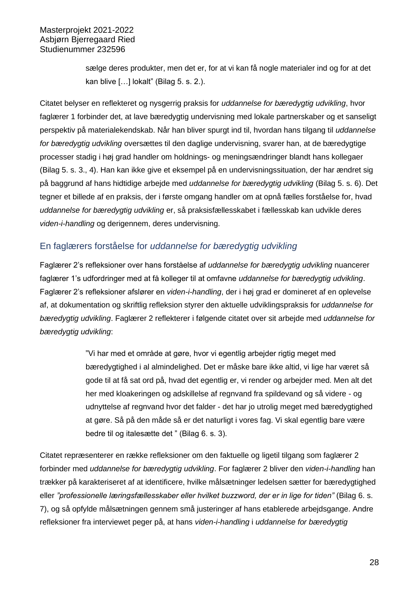sælge deres produkter, men det er, for at vi kan få nogle materialer ind og for at det kan blive […] lokalt" (Bilag 5. s. 2.).

Citatet belyser en reflekteret og nysgerrig praksis for *uddannelse for bæredygtig udvikling*, hvor faglærer 1 forbinder det, at lave bæredygtig undervisning med lokale partnerskaber og et sanseligt perspektiv på materialekendskab. Når han bliver spurgt ind til, hvordan hans tilgang til *uddannelse for bæredygtig udvikling* oversættes til den daglige undervisning, svarer han, at de bæredygtige processer stadig i høj grad handler om holdnings- og meningsændringer blandt hans kollegaer (Bilag 5. s. 3., 4). Han kan ikke give et eksempel på en undervisningssituation, der har ændret sig på baggrund af hans hidtidige arbejde med *uddannelse for bæredygtig udvikling* (Bilag 5. s. 6). Det tegner et billede af en praksis, der i første omgang handler om at opnå fælles forståelse for, hvad *uddannelse for bæredygtig udvikling* er, så praksisfællesskabet i fællesskab kan udvikle deres *viden-i-handling* og derigennem, deres undervisning.

## <span id="page-32-0"></span>En faglærers forståelse for *uddannelse for bæredygtig udvikling*

Faglærer 2's refleksioner over hans forståelse af *uddannelse for bæredygtig udvikling* nuancerer faglærer 1's udfordringer med at få kolleger til at omfavne *uddannelse for bæredygtig udvikling*. Faglærer 2's refleksioner afslører en *viden-i-handling*, der i høj grad er domineret af en oplevelse af, at dokumentation og skriftlig refleksion styrer den aktuelle udviklingspraksis for *uddannelse for bæredygtig udvikling*. Faglærer 2 reflekterer i følgende citatet over sit arbejde med *uddannelse for bæredygtig udvikling*:

> "Vi har med et område at gøre, hvor vi egentlig arbejder rigtig meget med bæredygtighed i al almindelighed. Det er måske bare ikke altid, vi lige har været så gode til at få sat ord på, hvad det egentlig er, vi render og arbejder med. Men alt det her med kloakeringen og adskillelse af regnvand fra spildevand og så videre - og udnyttelse af regnvand hvor det falder - det har jo utrolig meget med bæredygtighed at gøre. Så på den måde så er det naturligt i vores fag. Vi skal egentlig bare være bedre til og italesætte det " (Bilag 6. s. 3).

Citatet repræsenterer en række refleksioner om den faktuelle og ligetil tilgang som faglærer 2 forbinder med *uddannelse for bæredygtig udvikling*. For faglærer 2 bliver den *viden-i-handling* han trækker på karakteriseret af at identificere, hvilke målsætninger ledelsen sætter for bæredygtighed eller "professionelle læringsfællesskaber eller hvilket buzzword, der er in lige for tiden" (Bilag 6. s. 7), og så opfylde målsætningen gennem små justeringer af hans etablerede arbejdsgange. Andre refleksioner fra interviewet peger på, at hans *viden-i-handling* i *uddannelse for bæredygtig*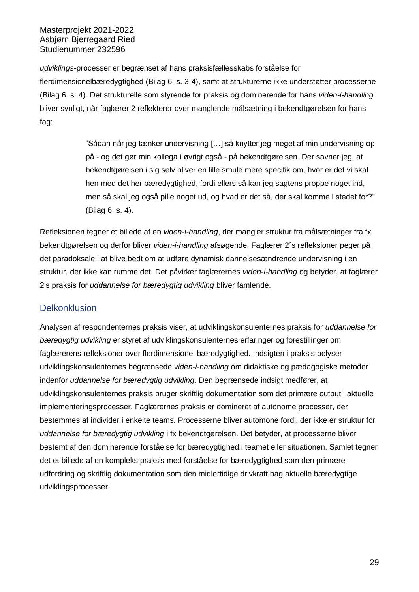*udviklings-*processer er begrænset af hans praksisfællesskabs forståelse for flerdimensionelbæredygtighed (Bilag 6. s. 3-4), samt at strukturerne ikke understøtter processerne (Bilag 6. s. 4). Det strukturelle som styrende for praksis og dominerende for hans *viden-i-handling* bliver synligt, når faglærer 2 reflekterer over manglende målsætning i bekendtgørelsen for hans fag:

> "Sådan når jeg tænker undervisning […] så knytter jeg meget af min undervisning op på - og det gør min kollega i øvrigt også - på bekendtgørelsen. Der savner jeg, at bekendtgørelsen i sig selv bliver en lille smule mere specifik om, hvor er det vi skal hen med det her bæredygtighed, fordi ellers så kan jeg sagtens proppe noget ind, men så skal jeg også pille noget ud, og hvad er det så, der skal komme i stedet for?" (Bilag 6. s. 4).

Refleksionen tegner et billede af en *viden-i-handling*, der mangler struktur fra målsætninger fra fx bekendtgørelsen og derfor bliver *viden-i-handling* afsøgende. Faglærer 2´s refleksioner peger på det paradoksale i at blive bedt om at udføre dynamisk dannelsesændrende undervisning i en struktur, der ikke kan rumme det. Det påvirker faglærernes *viden-i-handling* og betyder, at faglærer 2's praksis for *uddannelse for bæredygtig udvikling* bliver famlende.

## <span id="page-33-0"></span>**Delkonklusion**

Analysen af respondenternes praksis viser, at udviklingskonsulenternes praksis for *uddannelse for bæredygtig udvikling* er styret af udviklingskonsulenternes erfaringer og forestillinger om faglærerens refleksioner over flerdimensionel bæredygtighed. Indsigten i praksis belyser udviklingskonsulenternes begrænsede *viden-i-handling* om didaktiske og pædagogiske metoder indenfor *uddannelse for bæredygtig udvikling*. Den begrænsede indsigt medfører, at udviklingskonsulenternes praksis bruger skriftlig dokumentation som det primære output i aktuelle implementeringsprocesser. Faglærernes praksis er domineret af autonome processer, der bestemmes af individer i enkelte teams. Processerne bliver automone fordi, der ikke er struktur for *uddannelse for bæredygtig udvikling* i fx bekendtgørelsen. Det betyder, at processerne bliver bestemt af den dominerende forståelse for bæredygtighed i teamet eller situationen. Samlet tegner det et billede af en kompleks praksis med forståelse for bæredygtighed som den primære udfordring og skriftlig dokumentation som den midlertidige drivkraft bag aktuelle bæredygtige udviklingsprocesser.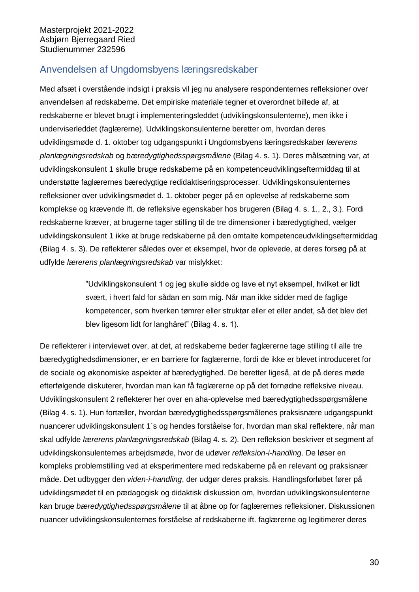# <span id="page-34-0"></span>Anvendelsen af Ungdomsbyens læringsredskaber

Med afsæt i overstående indsigt i praksis vil jeg nu analysere respondenternes refleksioner over anvendelsen af redskaberne. Det empiriske materiale tegner et overordnet billede af, at redskaberne er blevet brugt i implementeringsleddet (udviklingskonsulenterne), men ikke i underviserleddet (faglærerne). Udviklingskonsulenterne beretter om, hvordan deres udviklingsmøde d. 1. oktober tog udgangspunkt i Ungdomsbyens læringsredskaber *lærerens planlægningsredskab* og *bæredygtighedsspørgsmålene* (Bilag 4. s. 1). Deres målsætning var, at udviklingskonsulent 1 skulle bruge redskaberne på en kompetenceudviklingseftermiddag til at understøtte faglærernes bæredygtige redidaktiseringsprocesser. Udviklingskonsulenternes refleksioner over udviklingsmødet d. 1. oktober peger på en oplevelse af redskaberne som komplekse og krævende ift. de refleksive egenskaber hos brugeren (Bilag 4. s. 1., 2., 3.). Fordi redskaberne kræver, at brugerne tager stilling til de tre dimensioner i bæredygtighed, vælger udviklingskonsulent 1 ikke at bruge redskaberne på den omtalte kompetenceudviklingseftermiddag (Bilag 4. s. 3). De reflekterer således over et eksempel, hvor de oplevede, at deres forsøg på at udfylde *lærerens planlægningsredskab* var mislykket:

> "Udviklingskonsulent 1 og jeg skulle sidde og lave et nyt eksempel, hvilket er lidt svært, i hvert fald for sådan en som mig. Når man ikke sidder med de faglige kompetencer, som hverken tømrer eller struktør eller et eller andet, så det blev det blev ligesom lidt for langhåret" (Bilag 4. s. 1).

De reflekterer i interviewet over, at det, at redskaberne beder faglærerne tage stilling til alle tre bæredygtighedsdimensioner, er en barriere for faglærerne, fordi de ikke er blevet introduceret for de sociale og økonomiske aspekter af bæredygtighed. De beretter ligeså, at de på deres møde efterfølgende diskuterer, hvordan man kan få faglærerne op på det fornødne refleksive niveau. Udviklingskonsulent 2 reflekterer her over en aha-oplevelse med bæredygtighedsspørgsmålene (Bilag 4. s. 1). Hun fortæller, hvordan bæredygtighedsspørgsmålenes praksisnære udgangspunkt nuancerer udviklingskonsulent 1`s og hendes forståelse for, hvordan man skal reflektere, når man skal udfylde *lærerens planlægningsredskab* (Bilag 4. s. 2). Den refleksion beskriver et segment af udviklingskonsulenternes arbejdsmøde, hvor de udøver *refleksion-i-handling*. De løser en kompleks problemstilling ved at eksperimentere med redskaberne på en relevant og praksisnær måde. Det udbygger den *viden-i-handling*, der udgør deres praksis. Handlingsforløbet fører på udviklingsmødet til en pædagogisk og didaktisk diskussion om, hvordan udviklingskonsulenterne kan bruge *bæredygtighedsspørgsmålene* til at åbne op for faglærernes refleksioner. Diskussionen nuancer udviklingskonsulenternes forståelse af redskaberne ift. faglærerne og legitimerer deres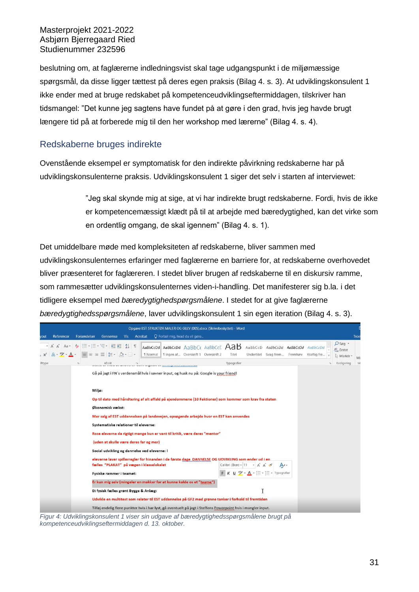beslutning om, at faglærerne indledningsvist skal tage udgangspunkt i de miljømæssige spørgsmål, da disse ligger tættest på deres egen praksis (Bilag 4. s. 3). At udviklingskonsulent 1 ikke ender med at bruge redskabet på kompetenceudviklingseftermiddagen, tilskriver han tidsmangel: "Det kunne jeg sagtens have fundet på at gøre i den grad, hvis jeg havde brugt længere tid på at forberede mig til den her workshop med lærerne" (Bilag 4. s. 4).

## <span id="page-35-0"></span>Redskaberne bruges indirekte

Ovenstående eksempel er symptomatisk for den indirekte påvirkning redskaberne har på udviklingskonsulenterne praksis. Udviklingskonsulent 1 siger det selv i starten af interviewet:

> "Jeg skal skynde mig at sige, at vi har indirekte brugt redskaberne. Fordi, hvis de ikke er kompetencemæssigt klædt på til at arbejde med bæredygtighed, kan det virke som en ordentlig omgang, de skal igennem" (Bilag 4. s. 1).

Det umiddelbare møde med kompleksiteten af redskaberne, bliver sammen med udviklingskonsulenternes erfaringer med faglærerne en barriere for, at redskaberne overhovedet bliver præsenteret for faglæreren. I stedet bliver brugen af redskaberne til en diskursiv ramme, som rammesætter udviklingskonsulenternes viden-i-handling. Det manifesterer sig b.la. i det tidligere eksempel med *bæredygtighedspørgsmålene*. I stedet for at give faglærerne *bæredygtighedsspørgsmålene*, laver udviklingskonsulent 1 sin egen iteration (Bilag 4. s. 3).



*Figur 4: Udviklingskonsulent 1 viser sin udgave af bæredygtighedsspørgsmålene brugt på kompetenceudviklingseftermiddagen d. 13. oktober.*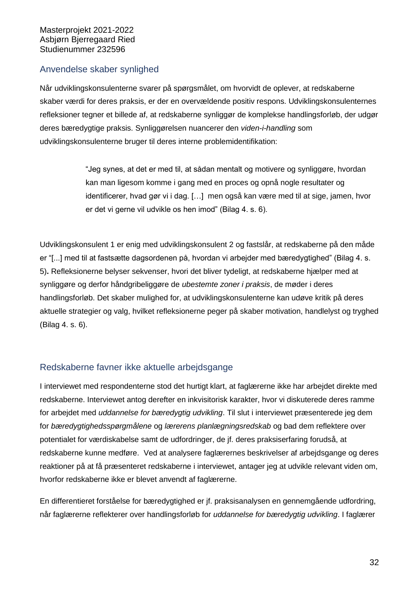## <span id="page-36-0"></span>Anvendelse skaber synlighed

Når udviklingskonsulenterne svarer på spørgsmålet, om hvorvidt de oplever, at redskaberne skaber værdi for deres praksis, er der en overvældende positiv respons. Udviklingskonsulenternes refleksioner tegner et billede af, at redskaberne synliggør de komplekse handlingsforløb, der udgør deres bæredygtige praksis. Synliggørelsen nuancerer den *viden-i-handling* som udviklingskonsulenterne bruger til deres interne problemidentifikation:

> "Jeg synes, at det er med til, at sådan mentalt og motivere og synliggøre, hvordan kan man ligesom komme i gang med en proces og opnå nogle resultater og identificerer, hvad gør vi i dag. […] men også kan være med til at sige, jamen, hvor er det vi gerne vil udvikle os hen imod" (Bilag 4. s. 6).

Udviklingskonsulent 1 er enig med udviklingskonsulent 2 og fastslår, at redskaberne på den måde er "[...] med til at fastsætte dagsordenen på, hvordan vi arbejder med bæredygtighed" (Bilag 4. s. 5)**.** Refleksionerne belyser sekvenser, hvori det bliver tydeligt, at redskaberne hjælper med at synliggøre og derfor håndgribeliggøre de *ubestemte zoner i praksis*, de møder i deres handlingsforløb. Det skaber mulighed for, at udviklingskonsulenterne kan udøve kritik på deres aktuelle strategier og valg, hvilket refleksionerne peger på skaber motivation, handlelyst og tryghed (Bilag 4. s. 6).

# <span id="page-36-1"></span>Redskaberne favner ikke aktuelle arbejdsgange

I interviewet med respondenterne stod det hurtigt klart, at faglærerne ikke har arbejdet direkte med redskaberne. Interviewet antog derefter en inkvisitorisk karakter, hvor vi diskuterede deres ramme for arbejdet med *uddannelse for bæredygtig udvikling*. Til slut i interviewet præsenterede jeg dem for *bæredygtighedsspørgmålene* og *lærerens planlægningsredskab* og bad dem reflektere over potentialet for værdiskabelse samt de udfordringer, de jf. deres praksiserfaring forudså, at redskaberne kunne medføre. Ved at analysere faglærernes beskrivelser af arbejdsgange og deres reaktioner på at få præsenteret redskaberne i interviewet, antager jeg at udvikle relevant viden om, hvorfor redskaberne ikke er blevet anvendt af faglærerne.

En differentieret forståelse for bæredygtighed er jf. praksisanalysen en gennemgående udfordring, når faglærerne reflekterer over handlingsforløb for *uddannelse for bæredygtig udvikling*. I faglærer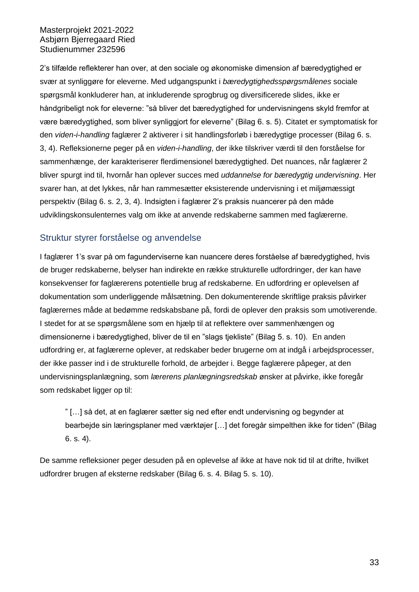2's tilfælde reflekterer han over, at den sociale og økonomiske dimension af bæredygtighed er svær at synliggøre for eleverne. Med udgangspunkt i *bæredygtighedsspørgsmålenes* sociale spørgsmål konkluderer han, at inkluderende sprogbrug og diversificerede slides, ikke er håndgribeligt nok for eleverne: "så bliver det bæredygtighed for undervisningens skyld fremfor at være bæredygtighed, som bliver synliggjort for eleverne" (Bilag 6. s. 5). Citatet er symptomatisk for den *viden-i-handling* faglærer 2 aktiverer i sit handlingsforløb i bæredygtige processer (Bilag 6. s. 3, 4). Refleksionerne peger på en *viden-i-handling*, der ikke tilskriver værdi til den forståelse for sammenhænge, der karakteriserer flerdimensionel bæredygtighed. Det nuances, når faglærer 2 bliver spurgt ind til, hvornår han oplever succes med *uddannelse for bæredygtig undervisning*. Her svarer han, at det lykkes, når han rammesætter eksisterende undervisning i et miljømæssigt perspektiv (Bilag 6. s. 2, 3, 4). Indsigten i faglærer 2's praksis nuancerer på den måde udviklingskonsulenternes valg om ikke at anvende redskaberne sammen med faglærerne.

#### <span id="page-37-0"></span>Struktur styrer forståelse og anvendelse

I faglærer 1's svar på om fagunderviserne kan nuancere deres forståelse af bæredygtighed, hvis de bruger redskaberne, belyser han indirekte en række strukturelle udfordringer, der kan have konsekvenser for faglærerens potentielle brug af redskaberne. En udfordring er oplevelsen af dokumentation som underliggende målsætning. Den dokumenterende skriftlige praksis påvirker faglærernes måde at bedømme redskabsbane på, fordi de oplever den praksis som umotiverende. I stedet for at se spørgsmålene som en hjælp til at reflektere over sammenhængen og dimensionerne i bæredygtighed, bliver de til en "slags tjekliste" (Bilag 5. s. 10). En anden udfordring er, at faglærerne oplever, at redskaber beder brugerne om at indgå i arbejdsprocesser, der ikke passer ind i de strukturelle forhold, de arbejder i. Begge faglærere påpeger, at den undervisningsplanlægning, som *lærerens planlægningsredskab* ønsker at påvirke, ikke foregår som redskabet ligger op til:

" […] så det, at en faglærer sætter sig ned efter endt undervisning og begynder at bearbejde sin læringsplaner med værktøjer […] det foregår simpelthen ikke for tiden" (Bilag 6. s. 4).

De samme refleksioner peger desuden på en oplevelse af ikke at have nok tid til at drifte, hvilket udfordrer brugen af eksterne redskaber (Bilag 6. s. 4. Bilag 5. s. 10).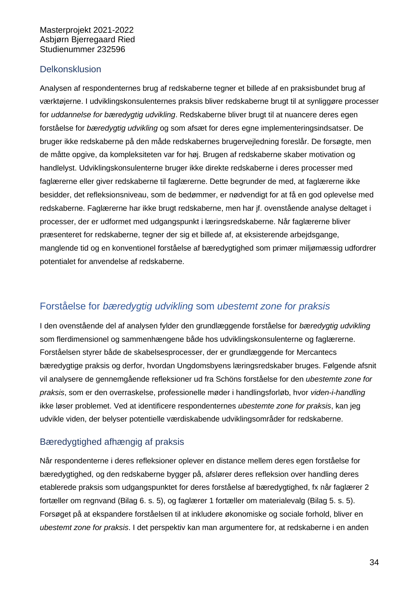## <span id="page-38-0"></span>**Delkonsklusion**

Analysen af respondenternes brug af redskaberne tegner et billede af en praksisbundet brug af værktøjerne. I udviklingskonsulenternes praksis bliver redskaberne brugt til at synliggøre processer for *uddannelse for bæredygtig udvikling*. Redskaberne bliver brugt til at nuancere deres egen forståelse for *bæredygtig udvikling* og som afsæt for deres egne implementeringsindsatser. De bruger ikke redskaberne på den måde redskabernes brugervejledning foreslår. De forsøgte, men de måtte opgive, da kompleksiteten var for høj. Brugen af redskaberne skaber motivation og handlelyst. Udviklingskonsulenterne bruger ikke direkte redskaberne i deres processer med faglærerne eller giver redskaberne til faglærerne. Dette begrunder de med, at faglærerne ikke besidder, det refleksionsniveau, som de bedømmer, er nødvendigt for at få en god oplevelse med redskaberne. Faglærerne har ikke brugt redskaberne, men har jf. ovenstående analyse deltaget i processer, der er udformet med udgangspunkt i læringsredskaberne. Når faglærerne bliver præsenteret for redskaberne, tegner der sig et billede af, at eksisterende arbejdsgange, manglende tid og en konventionel forståelse af bæredygtighed som primær miljømæssig udfordrer potentialet for anvendelse af redskaberne.

# <span id="page-38-1"></span>Forståelse for *bæredygtig udvikling* som *ubestemt zone for praksis*

I den ovenstående del af analysen fylder den grundlæggende forståelse for *bæredygtig udvikling* som flerdimensionel og sammenhængene både hos udviklingskonsulenterne og faglærerne. Forståelsen styrer både de skabelsesprocesser, der er grundlæggende for Mercantecs bæredygtige praksis og derfor, hvordan Ungdomsbyens læringsredskaber bruges. Følgende afsnit vil analysere de gennemgående refleksioner ud fra Schöns forståelse for den *ubestemte zone for praksis*, som er den overraskelse, professionelle møder i handlingsforløb, hvor *viden-i-handling* ikke løser problemet. Ved at identificere respondenternes *ubestemte zone for praksis*, kan jeg udvikle viden, der belyser potentielle værdiskabende udviklingsområder for redskaberne.

## <span id="page-38-2"></span>Bæredygtighed afhængig af praksis

Når respondenterne i deres refleksioner oplever en distance mellem deres egen forståelse for bæredygtighed, og den redskaberne bygger på, afslører deres refleksion over handling deres etablerede praksis som udgangspunktet for deres forståelse af bæredygtighed, fx når faglærer 2 fortæller om regnvand (Bilag 6. s. 5), og faglærer 1 fortæller om materialevalg (Bilag 5. s. 5). Forsøget på at ekspandere forståelsen til at inkludere økonomiske og sociale forhold, bliver en *ubestemt zone for praksis*. I det perspektiv kan man argumentere for, at redskaberne i en anden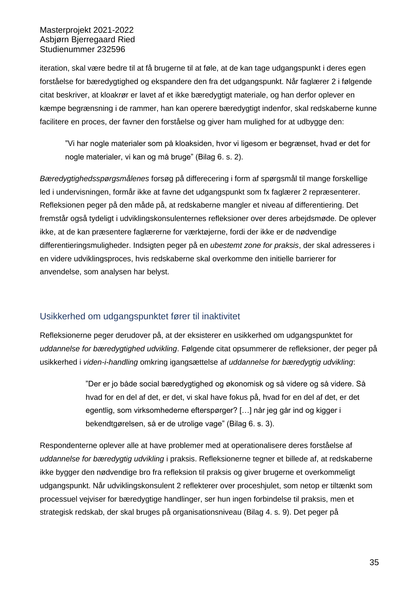iteration, skal være bedre til at få brugerne til at føle, at de kan tage udgangspunkt i deres egen forståelse for bæredygtighed og ekspandere den fra det udgangspunkt. Når faglærer 2 i følgende citat beskriver, at kloakrør er lavet af et ikke bæredygtigt materiale, og han derfor oplever en kæmpe begrænsning i de rammer, han kan operere bæredygtigt indenfor, skal redskaberne kunne facilitere en proces, der favner den forståelse og giver ham mulighed for at udbygge den:

"Vi har nogle materialer som på kloaksiden, hvor vi ligesom er begrænset, hvad er det for nogle materialer, vi kan og må bruge" (Bilag 6. s. 2).

*Bæredygtighedsspørgsmålenes* forsøg på differecering i form af spørgsmål til mange forskellige led i undervisningen, formår ikke at favne det udgangspunkt som fx faglærer 2 repræsenterer. Refleksionen peger på den måde på, at redskaberne mangler et niveau af differentiering. Det fremstår også tydeligt i udviklingskonsulenternes refleksioner over deres arbejdsmøde. De oplever ikke, at de kan præsentere faglærerne for værktøjerne, fordi der ikke er de nødvendige differentieringsmuligheder. Indsigten peger på en *ubestemt zone for praksis*, der skal adresseres i en videre udviklingsproces, hvis redskaberne skal overkomme den initielle barrierer for anvendelse, som analysen har belyst.

#### <span id="page-39-0"></span>Usikkerhed om udgangspunktet fører til inaktivitet

Refleksionerne peger derudover på, at der eksisterer en usikkerhed om udgangspunktet for *uddannelse for bæredygtighed udvikling*. Følgende citat opsummerer de refleksioner, der peger på usikkerhed i *viden-i-handling* omkring igangsættelse af *uddannelse for bæredygtig udvikling*:

> "Der er jo både social bæredygtighed og økonomisk og så videre og så videre. Så hvad for en del af det, er det, vi skal have fokus på, hvad for en del af det, er det egentlig, som virksomhederne efterspørger? […] når jeg går ind og kigger i bekendtgørelsen, så er de utrolige vage" (Bilag 6. s. 3).

Respondenterne oplever alle at have problemer med at operationalisere deres forståelse af *uddannelse for bæredygtig udvikling* i praksis. Refleksionerne tegner et billede af, at redskaberne ikke bygger den nødvendige bro fra refleksion til praksis og giver brugerne et overkommeligt udgangspunkt. Når udviklingskonsulent 2 reflekterer over proceshjulet, som netop er tiltænkt som processuel vejviser for bæredygtige handlinger, ser hun ingen forbindelse til praksis, men et strategisk redskab, der skal bruges på organisationsniveau (Bilag 4. s. 9). Det peger på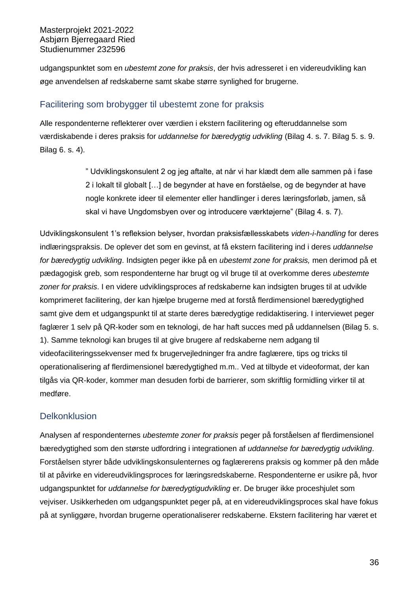udgangspunktet som en *ubestemt zone for praksis*, der hvis adresseret i en videreudvikling kan øge anvendelsen af redskaberne samt skabe større synlighed for brugerne.

## <span id="page-40-0"></span>Facilitering som brobygger til ubestemt zone for praksis

Alle respondenterne reflekterer over værdien i ekstern facilitering og efteruddannelse som værdiskabende i deres praksis for *uddannelse for bæredygtig udvikling* (Bilag 4. s. 7. Bilag 5. s. 9. Bilag 6. s. 4).

> " Udviklingskonsulent 2 og jeg aftalte, at når vi har klædt dem alle sammen på i fase 2 i lokalt til globalt […] de begynder at have en forståelse, og de begynder at have nogle konkrete ideer til elementer eller handlinger i deres læringsforløb, jamen, så skal vi have Ungdomsbyen over og introducere værktøjerne" (Bilag 4. s. 7).

Udviklingskonsulent 1's refleksion belyser, hvordan praksisfællesskabets *viden-i-handling* for deres indlæringspraksis. De oplever det som en gevinst, at få ekstern facilitering ind i deres *uddannelse for bæredygtig udvikling*. Indsigten peger ikke på en *ubestemt zone for praksis,* men derimod på et pædagogisk greb, som respondenterne har brugt og vil bruge til at overkomme deres *ubestemte zoner for praksis*. I en videre udviklingsproces af redskaberne kan indsigten bruges til at udvikle komprimeret facilitering, der kan hjælpe brugerne med at forstå flerdimensionel bæredygtighed samt give dem et udgangspunkt til at starte deres bæredygtige redidaktisering. I interviewet peger faglærer 1 selv på QR-koder som en teknologi, de har haft succes med på uddannelsen (Bilag 5. s. 1). Samme teknologi kan bruges til at give brugere af redskaberne nem adgang til videofaciliteringssekvenser med fx brugervejledninger fra andre faglærere, tips og tricks til operationalisering af flerdimensionel bæredygtighed m.m.. Ved at tilbyde et videoformat, der kan tilgås via QR-koder, kommer man desuden forbi de barrierer, som skriftlig formidling virker til at medføre.

# <span id="page-40-1"></span>**Delkonklusion**

Analysen af respondenternes *ubestemte zoner for praksis* peger på forståelsen af flerdimensionel bæredygtighed som den største udfordring i integrationen af *uddannelse for bæredygtig udvikling*. Forståelsen styrer både udviklingskonsulenternes og faglærerens praksis og kommer på den måde til at påvirke en videreudviklingsproces for læringsredskaberne. Respondenterne er usikre på, hvor udgangspunktet for *uddannelse for bæredygtigudvikling* er. De bruger ikke proceshjulet som vejviser. Usikkerheden om udgangspunktet peger på, at en videreudviklingsproces skal have fokus på at synliggøre, hvordan brugerne operationaliserer redskaberne. Ekstern facilitering har været et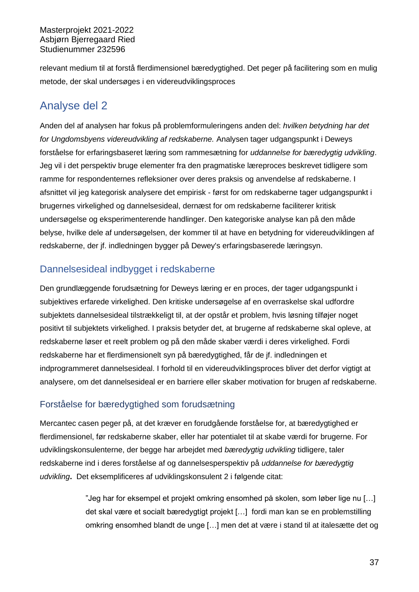relevant medium til at forstå flerdimensionel bæredygtighed. Det peger på facilitering som en mulig metode, der skal undersøges i en videreudviklingsproces

# <span id="page-41-0"></span>Analyse del 2

Anden del af analysen har fokus på problemformuleringens anden del: *hvilken betydning har det for Ungdomsbyens videreudvikling af redskaberne.* Analysen tager udgangspunkt i Deweys forståelse for erfaringsbaseret læring som rammesætning for *uddannelse for bæredygtig udvikling*. Jeg vil i det perspektiv bruge elementer fra den pragmatiske læreproces beskrevet tidligere som ramme for respondenternes refleksioner over deres praksis og anvendelse af redskaberne. I afsnittet vil jeg kategorisk analysere det empirisk - først for om redskaberne tager udgangspunkt i brugernes virkelighed og dannelsesideal, dernæst for om redskaberne faciliterer kritisk undersøgelse og eksperimenterende handlinger. Den kategoriske analyse kan på den måde belyse, hvilke dele af undersøgelsen, der kommer til at have en betydning for videreudviklingen af redskaberne, der jf. indledningen bygger på Dewey's erfaringsbaserede læringsyn.

# <span id="page-41-1"></span>Dannelsesideal indbygget i redskaberne

Den grundlæggende forudsætning for Deweys læring er en proces, der tager udgangspunkt i subjektives erfarede virkelighed. Den kritiske undersøgelse af en overraskelse skal udfordre subjektets dannelsesideal tilstrækkeligt til, at der opstår et problem, hvis løsning tilføjer noget positivt til subjektets virkelighed. I praksis betyder det, at brugerne af redskaberne skal opleve, at redskaberne løser et reelt problem og på den måde skaber værdi i deres virkelighed. Fordi redskaberne har et flerdimensionelt syn på bæredygtighed, får de jf. indledningen et indprogrammeret dannelsesideal. I forhold til en videreudviklingsproces bliver det derfor vigtigt at analysere, om det dannelsesideal er en barriere eller skaber motivation for brugen af redskaberne.

# <span id="page-41-2"></span>Forståelse for bæredygtighed som forudsætning

Mercantec casen peger på, at det kræver en forudgående forståelse for, at bæredygtighed er flerdimensionel, før redskaberne skaber, eller har potentialet til at skabe værdi for brugerne. For udviklingskonsulenterne, der begge har arbejdet med *bæredygtig udvikling* tidligere, taler redskaberne ind i deres forståelse af og dannelsesperspektiv på *uddannelse for bæredygtig udvikling***.** Det eksemplificeres af udviklingskonsulent 2 i følgende citat:

> "Jeg har for eksempel et projekt omkring ensomhed på skolen, som løber lige nu […] det skal være et socialt bæredygtigt projekt […] fordi man kan se en problemstilling omkring ensomhed blandt de unge […] men det at være i stand til at italesætte det og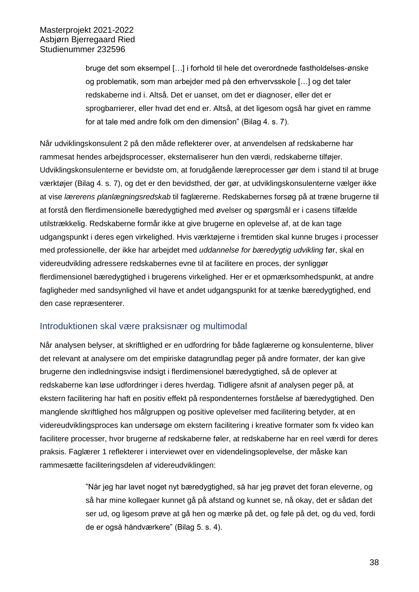bruge det som eksempel […] i forhold til hele det overordnede fastholdelses-ønske og problematik, som man arbejder med på den erhvervsskole […] og det taler redskaberne ind i. Altså. Det er uanset, om det er diagnoser, eller det er sprogbarrierer, eller hvad det end er. Altså, at det ligesom også har givet en ramme for at tale med andre folk om den dimension" (Bilag 4. s. 7).

Når udviklingskonsulent 2 på den måde reflekterer over, at anvendelsen af redskaberne har rammesat hendes arbejdsprocesser, eksternaliserer hun den værdi, redskaberne tilføjer. Udviklingskonsulenterne er bevidste om, at forudgående læreprocesser gør dem i stand til at bruge værktøjer (Bilag 4. s. 7), og det er den bevidsthed, der gør, at udviklingskonsulenterne vælger ikke at vise *lærerens planlægningsredskab* til faglærerne. Redskabernes forsøg på at træne brugerne til at forstå den flerdimensionelle bæredygtighed med øvelser og spørgsmål er i casens tilfælde utilstrækkelig. Redskaberne formår ikke at give brugerne en oplevelse af, at de kan tage udgangspunkt i deres egen virkelighed. Hvis værktøjerne i fremtiden skal kunne bruges i processer med professionelle, der ikke har arbejdet med *uddannelse for bæredygtig udvikling* før, skal en videreudvikling adressere redskabernes evne til at facilitere en proces, der synliggør flerdimensionel bæredygtighed i brugerens virkelighed. Her er et opmærksomhedspunkt, at andre fagligheder med sandsynlighed vil have et andet udgangspunkt for at tænke bæredygtighed, end den case repræsenterer.

#### <span id="page-42-0"></span>Introduktionen skal være praksisnær og multimodal

Når analysen belyser, at skriftlighed er en udfordring for både faglærerne og konsulenterne, bliver det relevant at analysere om det empiriske datagrundlag peger på andre formater, der kan give brugerne den indledningsvise indsigt i flerdimensionel bæredygtighed, så de oplever at redskaberne kan løse udfordringer i deres hverdag. Tidligere afsnit af analysen peger på, at ekstern facilitering har haft en positiv effekt på respondenternes forståelse af bæredygtighed. Den manglende skriftlighed hos målgruppen og positive oplevelser med facilitering betyder, at en videreudviklingsproces kan undersøge om ekstern facilitering i kreative formater som fx video kan facilitere processer, hvor brugerne af redskaberne føler, at redskaberne har en reel værdi for deres praksis. Faglærer 1 reflekterer i interviewet over en videndelingsoplevelse, der måske kan rammesætte faciliteringsdelen af videreudviklingen:

> "Når jeg har lavet noget nyt bæredygtighed, så har jeg prøvet det foran eleverne, og så har mine kollegaer kunnet gå på afstand og kunnet se, nå okay, det er sådan det ser ud, og ligesom prøve at gå hen og mærke på det, og føle på det, og du ved, fordi de er også håndværkere" (Bilag 5. s. 4).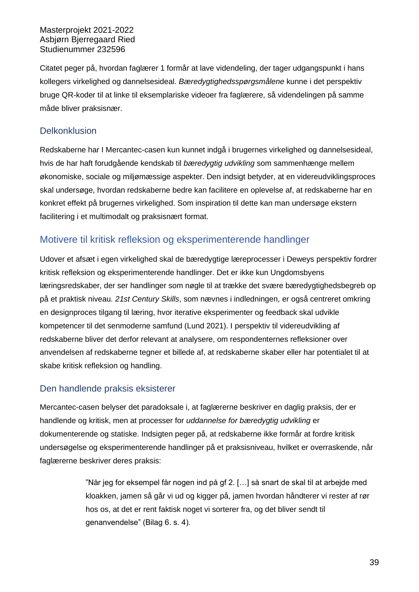Citatet peger på, hvordan faglærer 1 formår at lave videndeling, der tager udgangspunkt i hans kollegers virkelighed og dannelsesideal. *Bæredygtighedsspørgsmålene* kunne i det perspektiv bruge QR-koder til at linke til eksemplariske videoer fra faglærere, så videndelingen på samme måde bliver praksisnær.

#### <span id="page-43-0"></span>**Delkonklusion**

Redskaberne har I Mercantec-casen kun kunnet indgå i brugernes virkelighed og dannelsesideal, hvis de har haft forudgående kendskab til *bæredygtig udvikling* som sammenhænge mellem økonomiske, sociale og miljømæssige aspekter. Den indsigt betyder, at en videreudviklingsproces skal undersøge, hvordan redskaberne bedre kan facilitere en oplevelse af, at redskaberne har en konkret effekt på brugernes virkelighed. Som inspiration til dette kan man undersøge ekstern facilitering i et multimodalt og praksisnært format.

## <span id="page-43-1"></span>Motivere til kritisk refleksion og eksperimenterende handlinger

Udover et afsæt i egen virkelighed skal de bæredygtige læreprocesser i Deweys perspektiv fordrer kritisk refleksion og eksperimenterende handlinger. Det er ikke kun Ungdomsbyens læringsredskaber, der ser handlinger som nøgle til at trække det svære bæredygtighedsbegreb op på et praktisk niveau*. 21st Century Skills*, som nævnes i indledningen, er også centreret omkring en designproces tilgang til læring, hvor iterative eksperimenter og feedback skal udvikle kompetencer til det senmoderne samfund (Lund 2021). I perspektiv til videreudvikling af redskaberne bliver det derfor relevant at analysere, om respondenternes refleksioner over anvendelsen af redskaberne tegner et billede af, at redskaberne skaber eller har potentialet til at skabe kritisk refleksion og handling.

#### <span id="page-43-2"></span>Den handlende praksis eksisterer

Mercantec-casen belyser det paradoksale i, at faglærerne beskriver en daglig praksis, der er handlende og kritisk, men at processer for *uddannelse for bæredygtig udvikling* er dokumenterende og statiske. Indsigten peger på, at redskaberne ikke formår at fordre kritisk undersøgelse og eksperimenterende handlinger på et praksisniveau, hvilket er overraskende, når faglærerne beskriver deres praksis:

> "Når jeg for eksempel får nogen ind på gf 2. […] så snart de skal til at arbejde med kloakken, jamen så går vi ud og kigger på, jamen hvordan håndterer vi rester af rør hos os, at det er rent faktisk noget vi sorterer fra, og det bliver sendt til genanvendelse" (Bilag 6. s. 4).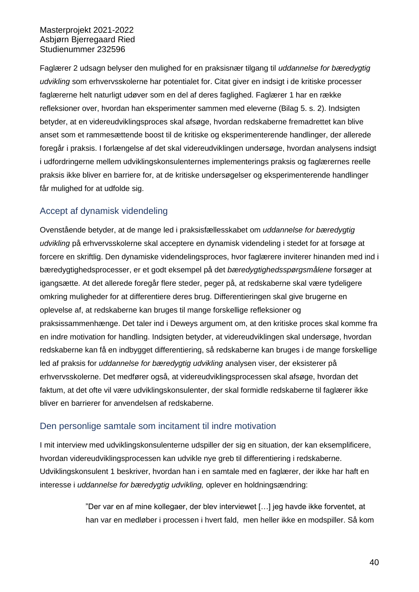Faglærer 2 udsagn belyser den mulighed for en praksisnær tilgang til *uddannelse for bæredygtig udvikling* som erhvervsskolerne har potentialet for. Citat giver en indsigt i de kritiske processer faglærerne helt naturligt udøver som en del af deres faglighed. Faglærer 1 har en række refleksioner over, hvordan han eksperimenter sammen med eleverne (Bilag 5. s. 2). Indsigten betyder, at en videreudviklingsproces skal afsøge, hvordan redskaberne fremadrettet kan blive anset som et rammesættende boost til de kritiske og eksperimenterende handlinger, der allerede foregår i praksis. I forlængelse af det skal videreudviklingen undersøge, hvordan analysens indsigt i udfordringerne mellem udviklingskonsulenternes implementerings praksis og faglærernes reelle praksis ikke bliver en barriere for, at de kritiske undersøgelser og eksperimenterende handlinger får mulighed for at udfolde sig.

## <span id="page-44-0"></span>Accept af dynamisk videndeling

Ovenstående betyder, at de mange led i praksisfællesskabet om *uddannelse for bæredygtig udvikling* på erhvervsskolerne skal acceptere en dynamisk videndeling i stedet for at forsøge at forcere en skriftlig. Den dynamiske videndelingsproces, hvor faglærere inviterer hinanden med ind i bæredygtighedsprocesser, er et godt eksempel på det *bæredygtighedsspørgsmålene* forsøger at igangsætte. At det allerede foregår flere steder, peger på, at redskaberne skal være tydeligere omkring muligheder for at differentiere deres brug. Differentieringen skal give brugerne en oplevelse af, at redskaberne kan bruges til mange forskellige refleksioner og praksissammenhænge. Det taler ind i Deweys argument om, at den kritiske proces skal komme fra en indre motivation for handling. Indsigten betyder, at videreudviklingen skal undersøge, hvordan redskaberne kan få en indbygget differentiering, så redskaberne kan bruges i de mange forskellige led af praksis for *uddannelse for bæredygtig udvikling* analysen viser, der eksisterer på erhvervsskolerne. Det medfører også, at videreudviklingsprocessen skal afsøge, hvordan det faktum, at det ofte vil være udviklingskonsulenter, der skal formidle redskaberne til faglærer ikke bliver en barrierer for anvendelsen af redskaberne.

#### <span id="page-44-1"></span>Den personlige samtale som incitament til indre motivation

I mit interview med udviklingskonsulenterne udspiller der sig en situation, der kan eksemplificere, hvordan videreudviklingsprocessen kan udvikle nye greb til differentiering i redskaberne. Udviklingskonsulent 1 beskriver, hvordan han i en samtale med en faglærer, der ikke har haft en interesse i *uddannelse for bæredygtig udvikling,* oplever en holdningsændring:

> "Der var en af mine kollegaer, der blev interviewet […] jeg havde ikke forventet, at han var en medløber i processen i hvert fald, men heller ikke en modspiller. Så kom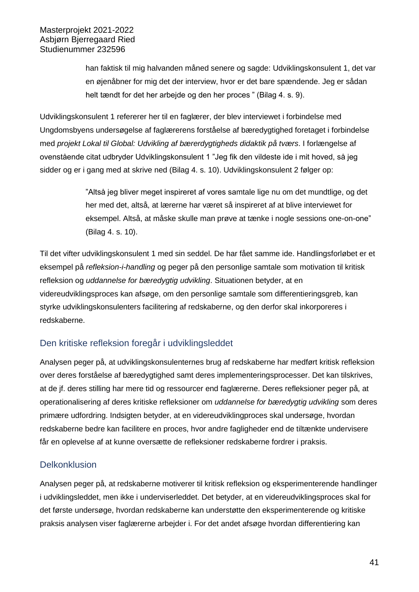han faktisk til mig halvanden måned senere og sagde: Udviklingskonsulent 1, det var en øjenåbner for mig det der interview, hvor er det bare spændende. Jeg er sådan helt tændt for det her arbejde og den her proces " (Bilag 4. s. 9).

Udviklingskonsulent 1 refererer her til en faglærer, der blev interviewet i forbindelse med Ungdomsbyens undersøgelse af faglærerens forståelse af bæredygtighed foretaget i forbindelse med *projekt Lokal til Global: Udvikling af bærerdygtigheds didaktik på tværs*. I forlængelse af ovenstående citat udbryder Udviklingskonsulent 1 "Jeg fik den vildeste ide i mit hoved, så jeg sidder og er i gang med at skrive ned (Bilag 4. s. 10). Udviklingskonsulent 2 følger op:

> "Altså jeg bliver meget inspireret af vores samtale lige nu om det mundtlige, og det her med det, altså, at lærerne har været så inspireret af at blive interviewet for eksempel. Altså, at måske skulle man prøve at tænke i nogle sessions one-on-one" (Bilag 4. s. 10).

Til det vifter udviklingskonsulent 1 med sin seddel. De har fået samme ide. Handlingsforløbet er et eksempel på *refleksion-i-handling* og peger på den personlige samtale som motivation til kritisk refleksion og *uddannelse for bæredygtig udvikling*. Situationen betyder, at en videreudviklingsproces kan afsøge, om den personlige samtale som differentieringsgreb, kan styrke udviklingskonsulenters facilitering af redskaberne, og den derfor skal inkorporeres i redskaberne.

## <span id="page-45-0"></span>Den kritiske refleksion foregår i udviklingsleddet

Analysen peger på, at udviklingskonsulenternes brug af redskaberne har medført kritisk refleksion over deres forståelse af bæredygtighed samt deres implementeringsprocesser. Det kan tilskrives, at de jf. deres stilling har mere tid og ressourcer end faglærerne. Deres refleksioner peger på, at operationalisering af deres kritiske refleksioner om *uddannelse for bæredygtig udvikling* som deres primære udfordring. Indsigten betyder, at en videreudviklingproces skal undersøge, hvordan redskaberne bedre kan facilitere en proces, hvor andre fagligheder end de tiltænkte undervisere får en oplevelse af at kunne oversætte de refleksioner redskaberne fordrer i praksis.

## <span id="page-45-1"></span>**Delkonklusion**

Analysen peger på, at redskaberne motiverer til kritisk refleksion og eksperimenterende handlinger i udviklingsleddet, men ikke i underviserleddet. Det betyder, at en videreudviklingsproces skal for det første undersøge, hvordan redskaberne kan understøtte den eksperimenterende og kritiske praksis analysen viser faglærerne arbejder i. For det andet afsøge hvordan differentiering kan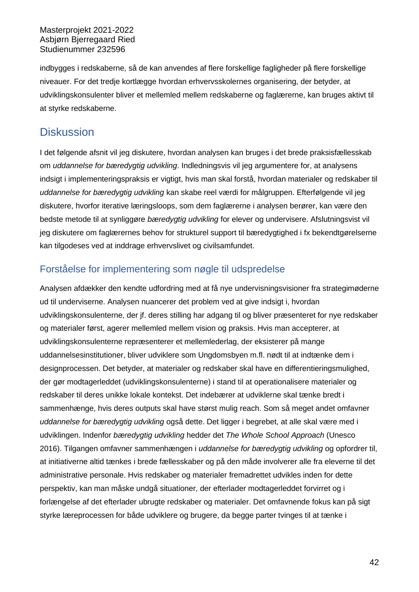indbygges i redskaberne, så de kan anvendes af flere forskellige fagligheder på flere forskellige niveauer. For det tredje kortlægge hvordan erhvervsskolernes organisering, der betyder, at udviklingskonsulenter bliver et mellemled mellem redskaberne og faglærerne, kan bruges aktivt til at styrke redskaberne.

# <span id="page-46-0"></span>**Diskussion**

I det følgende afsnit vil jeg diskutere, hvordan analysen kan bruges i det brede praksisfællesskab om *uddannelse for bæredygtig udvikling*. Indledningsvis vil jeg argumentere for, at analysens indsigt i implementeringspraksis er vigtigt, hvis man skal forstå, hvordan materialer og redskaber til *uddannelse for bæredygtig udvikling* kan skabe reel værdi for målgruppen. Efterfølgende vil jeg diskutere, hvorfor iterative læringsloops, som dem faglærerne i analysen berører, kan være den bedste metode til at synliggøre *bæredygtig udvikling* for elever og undervisere. Afslutningsvist vil jeg diskutere om faglærernes behov for strukturel support til bæredygtighed i fx bekendtgørelserne kan tilgodeses ved at inddrage erhvervslivet og civilsamfundet.

# <span id="page-46-1"></span>Forståelse for implementering som nøgle til udspredelse

Analysen afdækker den kendte udfordring med at få nye undervisningsvisioner fra strategimøderne ud til underviserne. Analysen nuancerer det problem ved at give indsigt i, hvordan udviklingskonsulenterne, der jf. deres stilling har adgang til og bliver præsenteret for nye redskaber og materialer først, agerer mellemled mellem vision og praksis. Hvis man accepterer, at udviklingskonsulenterne repræsenterer et mellemlederlag, der eksisterer på mange uddannelsesinstitutioner, bliver udviklere som Ungdomsbyen m.fl. nødt til at indtænke dem i designprocessen. Det betyder, at materialer og redskaber skal have en differentieringsmulighed, der gør modtagerleddet (udviklingskonsulenterne) i stand til at operationalisere materialer og redskaber til deres unikke lokale kontekst. Det indebærer at udviklerne skal tænke bredt i sammenhænge, hvis deres outputs skal have størst mulig reach. Som så meget andet omfavner *uddannelse for bæredygtig udvikling* også dette. Det ligger i begrebet, at alle skal være med i udviklingen. Indenfor *bæredygtig udvikling* hedder det *The Whole School Approach* (Unesco 2016). Tilgangen omfavner sammenhængen i *uddannelse for bæredygtig udvikling* og opfordrer til, at initiativerne altid tænkes i brede fællesskaber og på den måde involverer alle fra eleverne til det administrative personale. Hvis redskaber og materialer fremadrettet udvikles inden for dette perspektiv, kan man måske undgå situationer, der efterlader modtagerleddet forvirret og i forlængelse af det efterlader ubrugte redskaber og materialer. Det omfavnende fokus kan på sigt styrke læreprocessen for både udviklere og brugere, da begge parter tvinges til at tænke i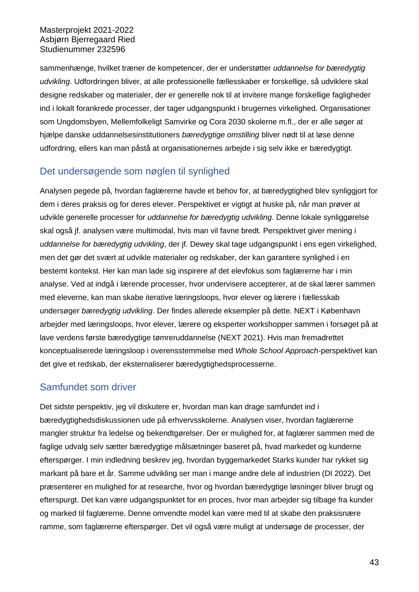sammenhænge, hvilket træner de kompetencer, der er understøtter *uddannelse for bæredygtig udvikling*. Udfordringen bliver, at alle professionelle fællesskaber er forskellige, så udviklere skal designe redskaber og materialer, der er generelle nok til at invitere mange forskellige fagligheder ind i lokalt forankrede processer, der tager udgangspunkt i brugernes virkelighed. Organisationer som Ungdomsbyen, Mellemfolkeligt Samvirke og Cora 2030 skolerne m.fl., der er alle søger at hjælpe danske uddannelsesinstitutioners *bæredygtige omstilling* bliver nødt til at løse denne udfordring, ellers kan man påstå at organisationernes arbejde i sig selv ikke er bæredygtigt.

## <span id="page-47-0"></span>Det undersøgende som nøglen til synlighed

Analysen pegede på, hvordan faglærerne havde et behov for, at bæredygtighed blev synliggjort for dem i deres praksis og for deres elever. Perspektivet er vigtigt at huske på, når man prøver at udvikle generelle processer for *uddannelse for bæredygtig udvikling*. Denne lokale synliggørelse skal også jf. analysen være multimodal, hvis man vil favne bredt. Perspektivet giver mening i *uddannelse for bæredygtig udvikling*, der jf. Dewey skal tage udgangspunkt i ens egen virkelighed, men det gør det svært at udvikle materialer og redskaber, der kan garantere synlighed i en bestemt kontekst. Her kan man lade sig inspirere af det elevfokus som faglærerne har i min analyse. Ved at indgå i lærende processer, hvor undervisere accepterer, at de skal lærer sammen med eleverne, kan man skabe iterative læringsloops, hvor elever og lærere i fællesskab undersøger *bæredygtig udvikling*. Der findes allerede eksempler på dette. NEXT i København arbejder med læringsloops, hvor elever, lærere og eksperter workshopper sammen i forsøget på at lave verdens første bæredygtige tømreruddannelse (NEXT 2021). Hvis man fremadrettet konceptualiserede læringsloop i overensstemmelse med *Whole School Approach-*perspektivet kan det give et redskab, der eksternaliserer bæredygtighedsprocesserne.

# <span id="page-47-1"></span>Samfundet som driver

Det sidste perspektiv, jeg vil diskutere er, hvordan man kan drage samfundet ind i bæredygtighedsdiskussionen ude på erhvervsskolerne. Analysen viser, hvordan faglærerne mangler struktur fra ledelse og bekendtgørelser. Der er mulighed for, at faglærer sammen med de faglige udvalg selv sætter bæredygtige målsætninger baseret på, hvad markedet og kunderne efterspørger. I min indledning beskrev jeg, hvordan byggemarkedet Starks kunder har rykket sig markant på bare et år. Samme udvikling ser man i mange andre dele af industrien (DI 2022). Det præsenterer en mulighed for at researche, hvor og hvordan bæredygtige løsninger bliver brugt og efterspurgt. Det kan være udgangspunktet for en proces, hvor man arbejder sig tilbage fra kunder og marked til faglærerne. Denne omvendte model kan være med til at skabe den praksisnære ramme, som faglærerne efterspørger. Det vil også være muligt at undersøge de processer, der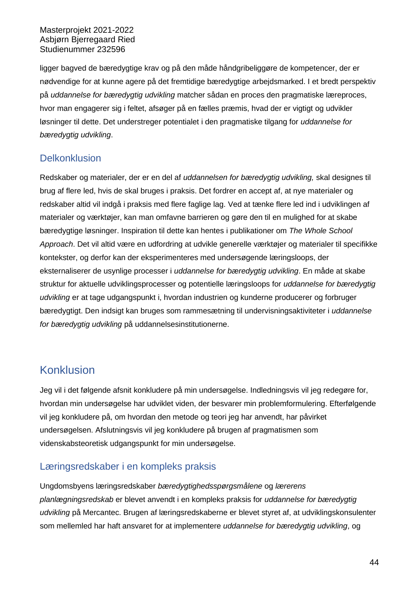ligger bagved de bæredygtige krav og på den måde håndgribeliggøre de kompetencer, der er nødvendige for at kunne agere på det fremtidige bæredygtige arbejdsmarked. I et bredt perspektiv på *uddannelse for bæredygtig udvikling* matcher sådan en proces den pragmatiske læreproces, hvor man engagerer sig i feltet, afsøger på en fælles præmis, hvad der er vigtigt og udvikler løsninger til dette. Det understreger potentialet i den pragmatiske tilgang for *uddannelse for bæredygtig udvikling*.

# <span id="page-48-0"></span>**Delkonklusion**

Redskaber og materialer, der er en del af *uddannelsen for bæredygtig udvikling,* skal designes til brug af flere led, hvis de skal bruges i praksis. Det fordrer en accept af, at nye materialer og redskaber altid vil indgå i praksis med flere faglige lag. Ved at tænke flere led ind i udviklingen af materialer og værktøjer, kan man omfavne barrieren og gøre den til en mulighed for at skabe bæredygtige løsninger. Inspiration til dette kan hentes i publikationer om *The Whole School Approach*. Det vil altid være en udfordring at udvikle generelle værktøjer og materialer til specifikke kontekster, og derfor kan der eksperimenteres med undersøgende læringsloops, der eksternaliserer de usynlige processer i *uddannelse for bæredygtig udvikling*. En måde at skabe struktur for aktuelle udviklingsprocesser og potentielle læringsloops for *uddannelse for bæredygtig udvikling* er at tage udgangspunkt i, hvordan industrien og kunderne producerer og forbruger bæredygtigt. Den indsigt kan bruges som rammesætning til undervisningsaktiviteter i *uddannelse for bæredygtig udvikling* på uddannelsesinstitutionerne.

# <span id="page-48-1"></span>Konklusion

Jeg vil i det følgende afsnit konkludere på min undersøgelse. Indledningsvis vil jeg redegøre for, hvordan min undersøgelse har udviklet viden, der besvarer min problemformulering. Efterfølgende vil jeg konkludere på, om hvordan den metode og teori jeg har anvendt, har påvirket undersøgelsen. Afslutningsvis vil jeg konkludere på brugen af pragmatismen som videnskabsteoretisk udgangspunkt for min undersøgelse.

# <span id="page-48-2"></span>Læringsredskaber i en kompleks praksis

Ungdomsbyens læringsredskaber *bæredygtighedsspørgsmålene* og *lærerens planlægningsredskab* er blevet anvendt i en kompleks praksis for *uddannelse for bæredygtig udvikling* på Mercantec. Brugen af læringsredskaberne er blevet styret af, at udviklingskonsulenter som mellemled har haft ansvaret for at implementere *uddannelse for bæredygtig udvikling*, og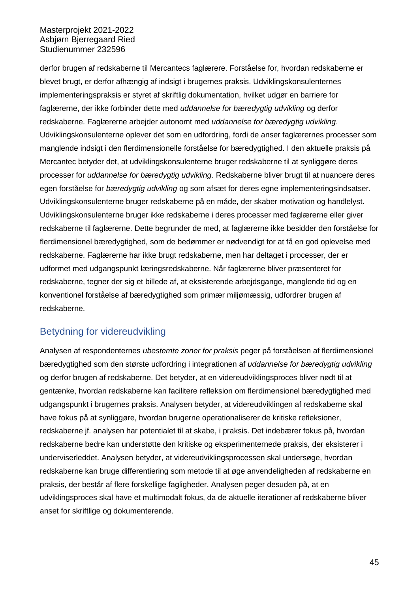derfor brugen af redskaberne til Mercantecs faglærere. Forståelse for, hvordan redskaberne er blevet brugt, er derfor afhængig af indsigt i brugernes praksis. Udviklingskonsulenternes implementeringspraksis er styret af skriftlig dokumentation, hvilket udgør en barriere for faglærerne, der ikke forbinder dette med *uddannelse for bæredygtig udvikling* og derfor redskaberne. Faglærerne arbejder autonomt med *uddannelse for bæredygtig udvikling*. Udviklingskonsulenterne oplever det som en udfordring, fordi de anser faglærernes processer som manglende indsigt i den flerdimensionelle forståelse for bæredygtighed. I den aktuelle praksis på Mercantec betyder det, at udviklingskonsulenterne bruger redskaberne til at synliggøre deres processer for *uddannelse for bæredygtig udvikling*. Redskaberne bliver brugt til at nuancere deres egen forståelse for *bæredygtig udvikling* og som afsæt for deres egne implementeringsindsatser. Udviklingskonsulenterne bruger redskaberne på en måde, der skaber motivation og handlelyst. Udviklingskonsulenterne bruger ikke redskaberne i deres processer med faglærerne eller giver redskaberne til faglærerne. Dette begrunder de med, at faglærerne ikke besidder den forståelse for flerdimensionel bæredygtighed, som de bedømmer er nødvendigt for at få en god oplevelse med redskaberne. Faglærerne har ikke brugt redskaberne, men har deltaget i processer, der er udformet med udgangspunkt læringsredskaberne. Når faglærerne bliver præsenteret for redskaberne, tegner der sig et billede af, at eksisterende arbejdsgange, manglende tid og en konventionel forståelse af bæredygtighed som primær miljømæssig, udfordrer brugen af redskaberne.

# <span id="page-49-0"></span>Betydning for videreudvikling

Analysen af respondenternes *ubestemte zoner for praksis* peger på forståelsen af flerdimensionel bæredygtighed som den største udfordring i integrationen af *uddannelse for bæredygtig udvikling* og derfor brugen af redskaberne. Det betyder, at en videreudviklingsproces bliver nødt til at gentænke, hvordan redskaberne kan facilitere refleksion om flerdimensionel bæredygtighed med udgangspunkt i brugernes praksis. Analysen betyder, at videreudviklingen af redskaberne skal have fokus på at synliggøre, hvordan brugerne operationaliserer de kritiske refleksioner, redskaberne jf. analysen har potentialet til at skabe, i praksis. Det indebærer fokus på, hvordan redskaberne bedre kan understøtte den kritiske og eksperimenternede praksis, der eksisterer i underviserleddet. Analysen betyder, at videreudviklingsprocessen skal undersøge, hvordan redskaberne kan bruge differentiering som metode til at øge anvendeligheden af redskaberne en praksis, der består af flere forskellige fagligheder. Analysen peger desuden på, at en udviklingsproces skal have et multimodalt fokus, da de aktuelle iterationer af redskaberne bliver anset for skriftlige og dokumenterende.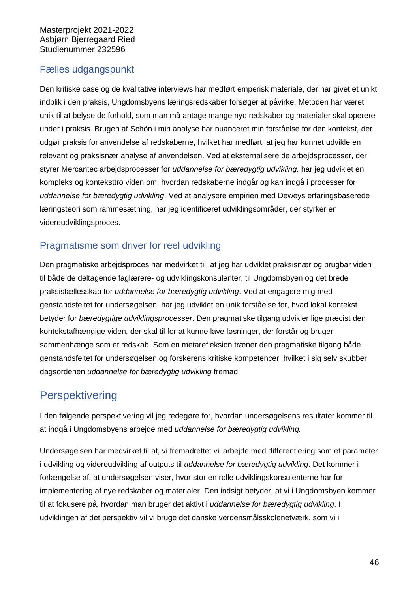# <span id="page-50-0"></span>Fælles udgangspunkt

Den kritiske case og de kvalitative interviews har medført emperisk materiale, der har givet et unikt indblik i den praksis, Ungdomsbyens læringsredskaber forsøger at påvirke. Metoden har været unik til at belyse de forhold, som man må antage mange nye redskaber og materialer skal operere under i praksis. Brugen af Schön i min analyse har nuanceret min forståelse for den kontekst, der udgør praksis for anvendelse af redskaberne, hvilket har medført, at jeg har kunnet udvikle en relevant og praksisnær analyse af anvendelsen. Ved at eksternalisere de arbejdsprocesser, der styrer Mercantec arbejdsprocesser for *uddannelse for bæredygtig udvikling,* har jeg udviklet en kompleks og konteksttro viden om, hvordan redskaberne indgår og kan indgå i processer for *uddannelse for bæredygtig udvikling*. Ved at analysere empirien med Deweys erfaringsbaserede læringsteori som rammesætning, har jeg identificeret udviklingsområder, der styrker en videreudviklingsproces.

# <span id="page-50-1"></span>Pragmatisme som driver for reel udvikling

Den pragmatiske arbejdsproces har medvirket til, at jeg har udviklet praksisnær og brugbar viden til både de deltagende faglærere- og udviklingskonsulenter, til Ungdomsbyen og det brede praksisfællesskab for *uddannelse for bæredygtig udvikling*. Ved at engagere mig med genstandsfeltet for undersøgelsen, har jeg udviklet en unik forståelse for, hvad lokal kontekst betyder for *bæredygtige udviklingsprocesser*. Den pragmatiske tilgang udvikler lige præcist den kontekstafhængige viden, der skal til for at kunne lave løsninger, der forstår og bruger sammenhænge som et redskab. Som en metarefleksion træner den pragmatiske tilgang både genstandsfeltet for undersøgelsen og forskerens kritiske kompetencer, hvilket i sig selv skubber dagsordenen *uddannelse for bæredygtig udvikling* fremad.

# <span id="page-50-2"></span>**Perspektivering**

I den følgende perspektivering vil jeg redegøre for, hvordan undersøgelsens resultater kommer til at indgå i Ungdomsbyens arbejde med *uddannelse for bæredygtig udvikling.*

Undersøgelsen har medvirket til at, vi fremadrettet vil arbejde med differentiering som et parameter i udvikling og videreudvikling af outputs til *uddannelse for bæredygtig udvikling*. Det kommer i forlængelse af, at undersøgelsen viser, hvor stor en rolle udviklingskonsulenterne har for implementering af nye redskaber og materialer. Den indsigt betyder, at vi i Ungdomsbyen kommer til at fokusere på, hvordan man bruger det aktivt i *uddannelse for bæredygtig udvikling*. I udviklingen af det perspektiv vil vi bruge det danske verdensmålsskolenetværk, som vi i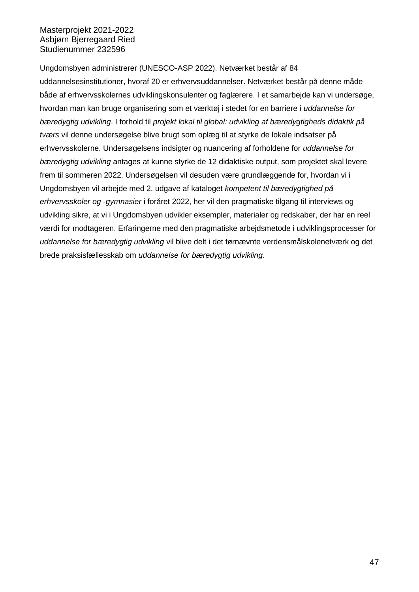Ungdomsbyen administrerer (UNESCO-ASP 2022). Netværket består af 84 uddannelsesinstitutioner, hvoraf 20 er erhvervsuddannelser. Netværket består på denne måde både af erhvervsskolernes udviklingskonsulenter og faglærere. I et samarbejde kan vi undersøge, hvordan man kan bruge organisering som et værktøj i stedet for en barriere i *uddannelse for bæredygtig udvikling*. I forhold til *projekt lokal til global: udvikling af bæredygtigheds didaktik på tværs* vil denne undersøgelse blive brugt som oplæg til at styrke de lokale indsatser på erhvervsskolerne. Undersøgelsens indsigter og nuancering af forholdene for *uddannelse for bæredygtig udvikling* antages at kunne styrke de 12 didaktiske output, som projektet skal levere frem til sommeren 2022. Undersøgelsen vil desuden være grundlæggende for, hvordan vi i Ungdomsbyen vil arbejde med 2. udgave af kataloget *kompetent til bæredygtighed på erhvervsskoler og -gymnasier* i foråret 2022, her vil den pragmatiske tilgang til interviews og udvikling sikre, at vi i Ungdomsbyen udvikler eksempler, materialer og redskaber, der har en reel værdi for modtageren. Erfaringerne med den pragmatiske arbejdsmetode i udviklingsprocesser for *uddannelse for bæredygtig udvikling* vil blive delt i det førnævnte verdensmålskolenetværk og det brede praksisfællesskab om *uddannelse for bæredygtig udvikling*.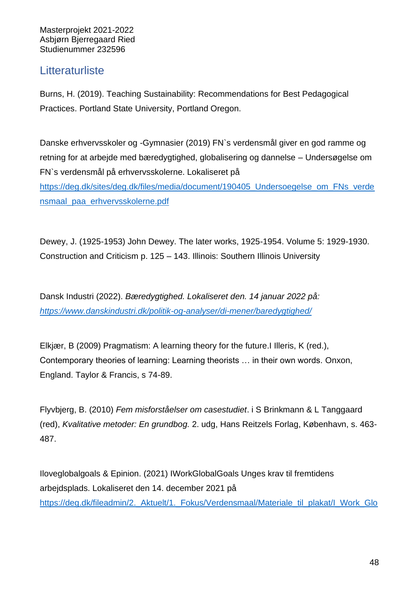# <span id="page-52-0"></span>**Litteraturliste**

Burns, H. (2019). Teaching Sustainability: Recommendations for Best Pedagogical Practices. Portland State University, Portland Oregon.

Danske erhvervsskoler og -Gymnasier (2019) FN`s verdensmål giver en god ramme og retning for at arbejde med bæredygtighed, globalisering og dannelse – Undersøgelse om FN`s verdensmål på erhvervsskolerne. Lokaliseret på [https://deg.dk/sites/deg.dk/files/media/document/190405\\_Undersoegelse\\_om\\_FNs\\_verde](https://deg.dk/sites/deg.dk/files/media/document/190405_Undersoegelse_om_FNs_verdensmaal_paa_erhvervsskolerne.pdf) [nsmaal\\_paa\\_erhvervsskolerne.pdf](https://deg.dk/sites/deg.dk/files/media/document/190405_Undersoegelse_om_FNs_verdensmaal_paa_erhvervsskolerne.pdf)

Dewey, J. (1925-1953) John Dewey. The later works, 1925-1954. Volume 5: 1929-1930. Construction and Criticism p. 125 – 143. Illinois: Southern Illinois University

Dansk Industri (2022). *Bæredygtighed. Lokaliseret den. 14 januar 2022 på: <https://www.danskindustri.dk/politik-og-analyser/di-mener/baredygtighed/>*

Elkjær, B (2009) Pragmatism: A learning theory for the future.I Illeris, K (red.), Contemporary theories of learning: Learning theorists … in their own words. Onxon, England. Taylor & Francis, s 74-89.

Flyvbjerg, B. (2010) *Fem misforståelser om casestudiet*. i S Brinkmann & L Tanggaard (red), *Kvalitative metoder: En grundbog.* 2. udg, Hans Reitzels Forlag, København, s. 463- 487.

Iloveglobalgoals & Epinion. (2021) IWorkGlobalGoals Unges krav til fremtidens arbejdsplads. Lokaliseret den 14. december 2021 på [https://deg.dk/fileadmin/2.\\_Aktuelt/1.\\_Fokus/Verdensmaal/Materiale\\_til\\_plakat/I\\_Work\\_Glo](https://deg.dk/fileadmin/2._Aktuelt/1._Fokus/Verdensmaal/Materiale_til_plakat/I_Work_Global_Goals_-_Hovedrapport.pdf)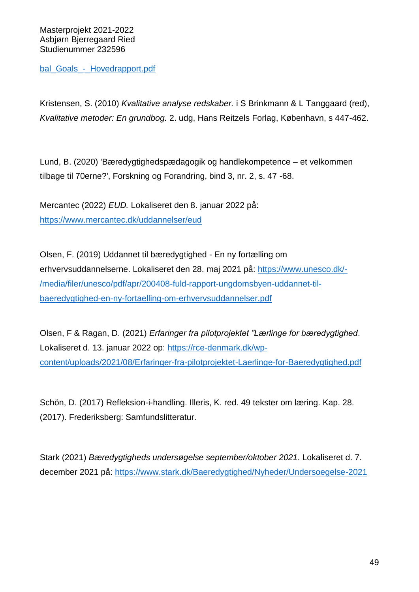bal Goals - Hovedrapport.pdf

Kristensen, S. (2010) *Kvalitative analyse redskaber.* i S Brinkmann & L Tanggaard (red), *Kvalitative metoder: En grundbog.* 2. udg, Hans Reitzels Forlag, København, s 447-462.

Lund, B. (2020) 'Bæredygtighedspædagogik og handlekompetence – et velkommen tilbage til 70erne?', Forskning og Forandring, bind 3, nr. 2, s. 47 -68.

Mercantec (2022) *EUD.* Lokaliseret den 8. januar 2022 på: <https://www.mercantec.dk/uddannelser/eud>

Olsen, F. (2019) Uddannet til bæredygtighed - En ny fortælling om erhvervsuddannelserne. Lokaliseret den 28. maj 2021 på: [https://www.unesco.dk/-](https://www.unesco.dk/-/media/filer/unesco/pdf/apr/200408-fuld-rapport-ungdomsbyen-uddannet-til-baeredygtighed-en-ny-fortaelling-om-erhvervsuddannelser.pdf) [/media/filer/unesco/pdf/apr/200408-fuld-rapport-ungdomsbyen-uddannet-til](https://www.unesco.dk/-/media/filer/unesco/pdf/apr/200408-fuld-rapport-ungdomsbyen-uddannet-til-baeredygtighed-en-ny-fortaelling-om-erhvervsuddannelser.pdf)[baeredygtighed-en-ny-fortaelling-om-erhvervsuddannelser.pdf](https://www.unesco.dk/-/media/filer/unesco/pdf/apr/200408-fuld-rapport-ungdomsbyen-uddannet-til-baeredygtighed-en-ny-fortaelling-om-erhvervsuddannelser.pdf)

Olsen, F & Ragan, D. (2021) *Erfaringer fra pilotprojektet "Lærlinge for bæredygtighed*. Lokaliseret d. 13. januar 2022 op: [https://rce-denmark.dk/wp](https://rce-denmark.dk/wp-content/uploads/2021/08/Erfaringer-fra-pilotprojektet-Laerlinge-for-Baeredygtighed.pdf)[content/uploads/2021/08/Erfaringer-fra-pilotprojektet-Laerlinge-for-Baeredygtighed.pdf](https://rce-denmark.dk/wp-content/uploads/2021/08/Erfaringer-fra-pilotprojektet-Laerlinge-for-Baeredygtighed.pdf)

Schön, D. (2017) Refleksion-i-handling. Illeris, K. red. 49 tekster om læring. Kap. 28. (2017). Frederiksberg: Samfundslitteratur.

Stark (2021) *Bæredygtigheds undersøgelse september/oktober 2021*. Lokaliseret d. 7. december 2021 på:<https://www.stark.dk/Baeredygtighed/Nyheder/Undersoegelse-2021>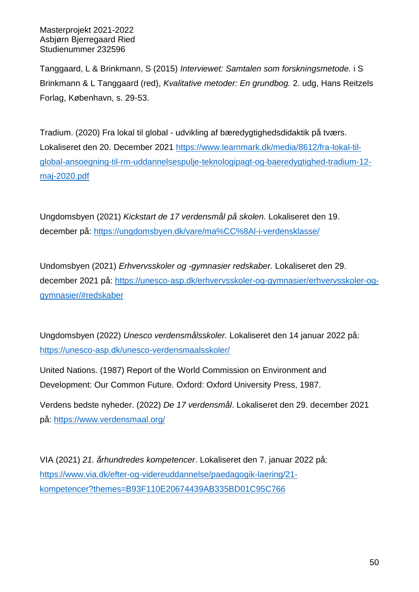Tanggaard, L & Brinkmann, S (2015) *Interviewet: Samtalen som forskningsmetode.* i S Brinkmann & L Tanggaard (red), *Kvalitative metoder: En grundbog.* 2. udg, Hans Reitzels Forlag, København, s. 29-53.

Tradium. (2020) Fra lokal til global - udvikling af bæredygtighedsdidaktik på tværs. Lokaliseret den 20. December 2021 [https://www.learnmark.dk/media/8612/fra-lokal-til](https://www.learnmark.dk/media/8612/fra-lokal-til-global-ansoegning-til-rm-uddannelsespulje-teknologipagt-og-baeredygtighed-tradium-12-maj-2020.pdf)[global-ansoegning-til-rm-uddannelsespulje-teknologipagt-og-baeredygtighed-tradium-12](https://www.learnmark.dk/media/8612/fra-lokal-til-global-ansoegning-til-rm-uddannelsespulje-teknologipagt-og-baeredygtighed-tradium-12-maj-2020.pdf) [maj-2020.pdf](https://www.learnmark.dk/media/8612/fra-lokal-til-global-ansoegning-til-rm-uddannelsespulje-teknologipagt-og-baeredygtighed-tradium-12-maj-2020.pdf)

Ungdomsbyen (2021) *Kickstart de 17 verdensmål på skolen.* Lokaliseret den 19. december på:<https://ungdomsbyen.dk/vare/ma%CC%8Al-i-verdensklasse/>

Undomsbyen (2021) *Erhvervsskoler og -gymnasier redskaber.* Lokaliseret den 29. december 2021 på: [https://unesco-asp.dk/erhvervsskoler-og-gymnasier/erhvervsskoler-og](https://unesco-asp.dk/erhvervsskoler-og-gymnasier/erhvervsskoler-og-gymnasier/#redskaber)[gymnasier/#redskaber](https://unesco-asp.dk/erhvervsskoler-og-gymnasier/erhvervsskoler-og-gymnasier/#redskaber)

Ungdomsbyen (2022) *Unesco verdensmålsskoler.* Lokaliseret den 14 januar 2022 på: <https://unesco-asp.dk/unesco-verdensmaalsskoler/>

United Nations. (1987) Report of the World Commission on Environment and Development: Our Common Future. Oxford: Oxford University Press, 1987.

Verdens bedste nyheder. (2022) *De 17 verdensmål*. Lokaliseret den 29. december 2021 på:<https://www.verdensmaal.org/>

VIA (2021) *21. århundredes kompetencer*. Lokaliseret den 7. januar 2022 på: [https://www.via.dk/efter-og-videreuddannelse/paedagogik-laering/21](https://www.via.dk/efter-og-videreuddannelse/paedagogik-laering/21-kompetencer?themes=B93F110E20674439AB335BD01C95C766) [kompetencer?themes=B93F110E20674439AB335BD01C95C766](https://www.via.dk/efter-og-videreuddannelse/paedagogik-laering/21-kompetencer?themes=B93F110E20674439AB335BD01C95C766)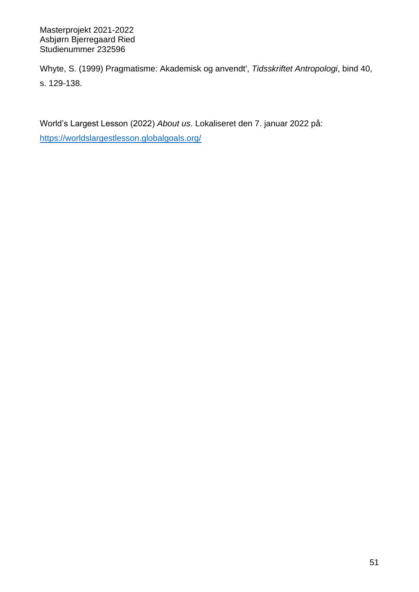Whyte, S. (1999) Pragmatisme: Akademisk og anvendt', *Tidsskriftet Antropologi*, bind 40, s. 129-138.

World's Largest Lesson (2022) *About us*. Lokaliseret den 7. januar 2022 på:

<https://worldslargestlesson.globalgoals.org/>